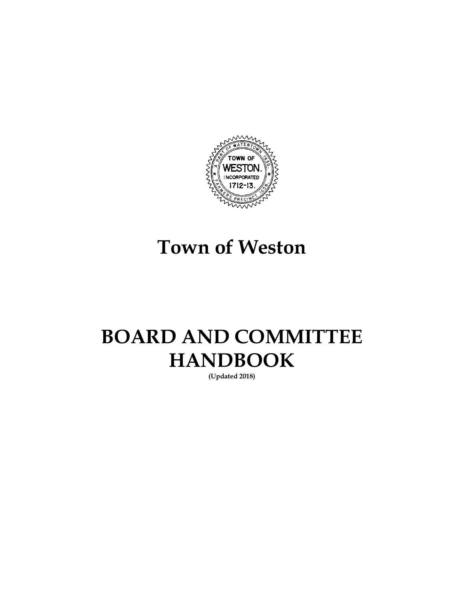

# **Town of Weston**

# **BOARD AND COMMITTEE HANDBOOK**

**(Updated 2018)**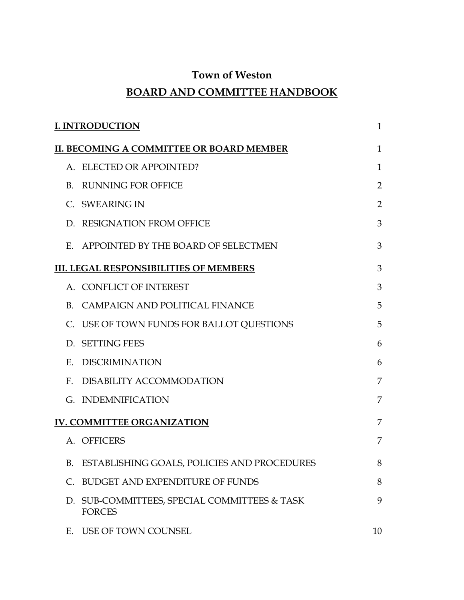## **Town of Weston**

# **BOARD AND COMMITTEE HANDBOOK**

| <b>I. INTRODUCTION</b><br>1 |                                                               |                |
|-----------------------------|---------------------------------------------------------------|----------------|
|                             | II. BECOMING A COMMITTEE OR BOARD MEMBER                      | $\mathbf{1}$   |
|                             | A. ELECTED OR APPOINTED?                                      | $\mathbf{1}$   |
| B.                          | <b>RUNNING FOR OFFICE</b>                                     | $\overline{2}$ |
|                             | C. SWEARING IN                                                | 2              |
|                             | D. RESIGNATION FROM OFFICE                                    | 3              |
|                             | E. APPOINTED BY THE BOARD OF SELECTMEN                        | 3              |
|                             | <b>III. LEGAL RESPONSIBILITIES OF MEMBERS</b>                 | 3              |
|                             | A. CONFLICT OF INTEREST                                       | 3              |
| B.                          | CAMPAIGN AND POLITICAL FINANCE                                | 5              |
|                             | C. USE OF TOWN FUNDS FOR BALLOT QUESTIONS                     | 5              |
|                             | D. SETTING FEES                                               | 6              |
| E.                          | DISCRIMINATION                                                | 6              |
| $F_{\perp}$                 | DISABILITY ACCOMMODATION                                      | 7              |
|                             | G. INDEMNIFICATION                                            | 7              |
|                             | <b>IV. COMMITTEE ORGANIZATION</b>                             | 7              |
|                             | A. OFFICERS                                                   | 7              |
| B.                          | ESTABLISHING GOALS, POLICIES AND PROCEDURES                   | 8              |
| C.                          | <b>BUDGET AND EXPENDITURE OF FUNDS</b>                        | 8              |
|                             | D. SUB-COMMITTEES, SPECIAL COMMITTEES & TASK<br><b>FORCES</b> | 9              |
| Е.                          | USE OF TOWN COUNSEL                                           | 10             |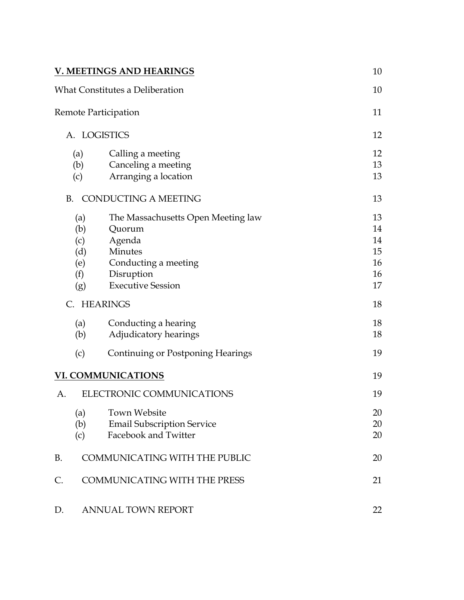|           | <b>V. MEETINGS AND HEARINGS</b>      | 10 |
|-----------|--------------------------------------|----|
|           | What Constitutes a Deliberation      | 10 |
|           | Remote Participation                 | 11 |
|           | A. LOGISTICS                         | 12 |
| (a)       | Calling a meeting                    | 12 |
| (b)       | Canceling a meeting                  | 13 |
| (c)       | Arranging a location                 | 13 |
| <b>B.</b> | <b>CONDUCTING A MEETING</b>          | 13 |
| (a)       | The Massachusetts Open Meeting law   | 13 |
| (b)       | Quorum                               | 14 |
| (c)       | Agenda                               | 14 |
| (d)       | Minutes                              | 15 |
| (e)       | Conducting a meeting                 | 16 |
| (f)       | Disruption                           | 16 |
| (g)       | <b>Executive Session</b>             | 17 |
| C.        | <b>HEARINGS</b>                      | 18 |
| (a)       | Conducting a hearing                 | 18 |
| (b)       | Adjudicatory hearings                | 18 |
| (c)       | Continuing or Postponing Hearings    | 19 |
|           | <b>VI. COMMUNICATIONS</b>            | 19 |
| А.        | ELECTRONIC COMMUNICATIONS            | 19 |
| (a)       | <b>Town Website</b>                  | 20 |
| (b)       | <b>Email Subscription Service</b>    | 20 |
| (c)       | Facebook and Twitter                 | 20 |
| <b>B.</b> | <b>COMMUNICATING WITH THE PUBLIC</b> | 20 |
| C.        | <b>COMMUNICATING WITH THE PRESS</b>  | 21 |
| D.        | <b>ANNUAL TOWN REPORT</b>            | 22 |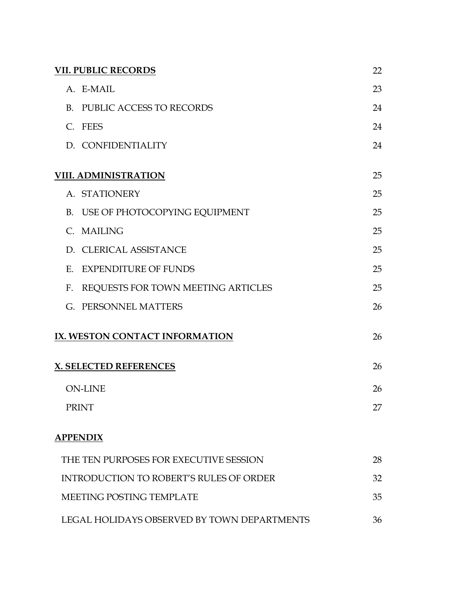| <b>VII. PUBLIC RECORDS</b><br>22               |    |  |
|------------------------------------------------|----|--|
| A. E-MAIL                                      | 23 |  |
| B. PUBLIC ACCESS TO RECORDS                    | 24 |  |
| C. FEES                                        | 24 |  |
| D. CONFIDENTIALITY                             | 24 |  |
| <b>VIII. ADMINISTRATION</b>                    | 25 |  |
| A. STATIONERY                                  | 25 |  |
| B. USE OF PHOTOCOPYING EQUIPMENT               | 25 |  |
| C. MAILING                                     | 25 |  |
| D. CLERICAL ASSISTANCE                         | 25 |  |
| <b>EXPENDITURE OF FUNDS</b><br>E.              | 25 |  |
| F. REQUESTS FOR TOWN MEETING ARTICLES          | 25 |  |
| G. PERSONNEL MATTERS                           | 26 |  |
| IX. WESTON CONTACT INFORMATION                 | 26 |  |
| <b>X. SELECTED REFERENCES</b>                  | 26 |  |
| <b>ON-LINE</b>                                 | 26 |  |
| <b>PRINT</b>                                   | 27 |  |
| <b>APPENDIX</b>                                |    |  |
| THE TEN PURPOSES FOR EXECUTIVE SESSION         | 28 |  |
| <b>INTRODUCTION TO ROBERT'S RULES OF ORDER</b> | 32 |  |
| MEETING POSTING TEMPLATE                       | 35 |  |
| LEGAL HOLIDAYS OBSERVED BY TOWN DEPARTMENTS    | 36 |  |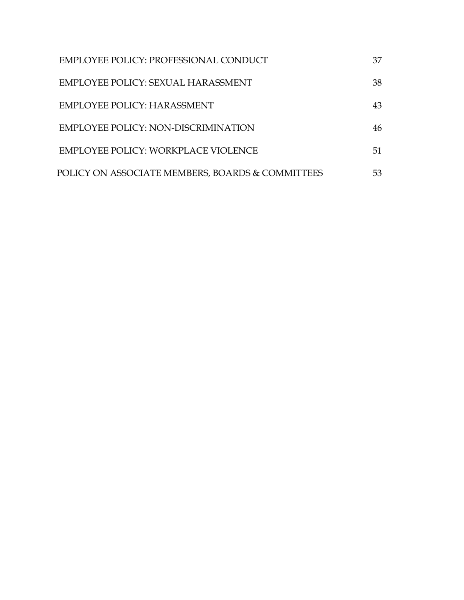| EMPLOYEE POLICY: PROFESSIONAL CONDUCT            | 37 |
|--------------------------------------------------|----|
| EMPLOYEE POLICY: SEXUAL HARASSMENT               | 38 |
| EMPLOYEE POLICY: HARASSMENT                      | 43 |
| EMPLOYEE POLICY: NON-DISCRIMINATION              | 46 |
| EMPLOYEE POLICY: WORKPLACE VIOLENCE              | 51 |
| POLICY ON ASSOCIATE MEMBERS, BOARDS & COMMITTEES | 53 |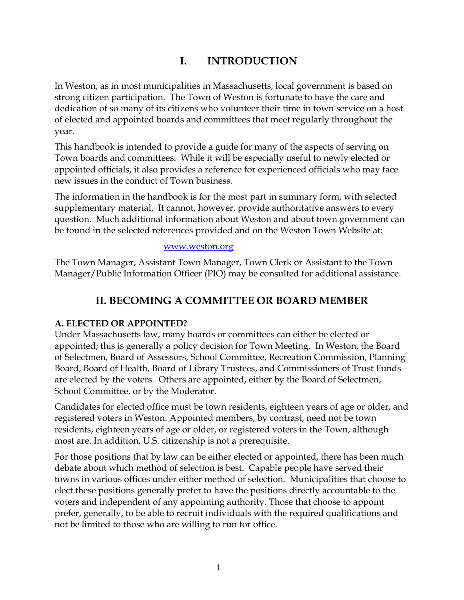# **I. INTRODUCTION**

In Weston, as in most municipalities in Massachusetts, local government is based on strong citizen participation. The Town of Weston is fortunate to have the care and dedication of so many of its citizens who volunteer their time in town service on a host of elected and appointed boards and committees that meet regularly throughout the year.

This handbook is intended to provide a guide for many of the aspects of serving on Town boards and committees. While it will be especially useful to newly elected or appointed officials, it also provides a reference for experienced officials who may face new issues in the conduct of Town business.

The information in the handbook is for the most part in summary form, with selected supplementary material. It cannot, however, provide authoritative answers to every question. Much additional information about Weston and about town government can be found in the selected references provided and on the Weston Town Website at:

#### [www.weston.org](http://www.weston.org/)

The Town Manager, Assistant Town Manager, Town Clerk or Assistant to the Town Manager/Public Information Officer (PIO) may be consulted for additional assistance.

# **II. BECOMING A COMMITTEE OR BOARD MEMBER**

#### **A. ELECTED OR APPOINTED?**

Under Massachusetts law, many boards or committees can either be elected or appointed; this is generally a policy decision for Town Meeting. In Weston, the Board of Selectmen, Board of Assessors, School Committee, Recreation Commission, Planning Board, Board of Health, Board of Library Trustees, and Commissioners of Trust Funds are elected by the voters. Others are appointed, either by the Board of Selectmen, School Committee, or by the Moderator.

Candidates for elected office must be town residents, eighteen years of age or older, and registered voters in Weston. Appointed members, by contrast, need not be town residents, eighteen years of age or older, or registered voters in the Town, although most are. In addition, U.S. citizenship is not a prerequisite.

For those positions that by law can be either elected or appointed, there has been much debate about which method of selection is best. Capable people have served their towns in various offices under either method of selection. Municipalities that choose to elect these positions generally prefer to have the positions directly accountable to the voters and independent of any appointing authority. Those that choose to appoint prefer, generally, to be able to recruit individuals with the required qualifications and not be limited to those who are willing to run for office.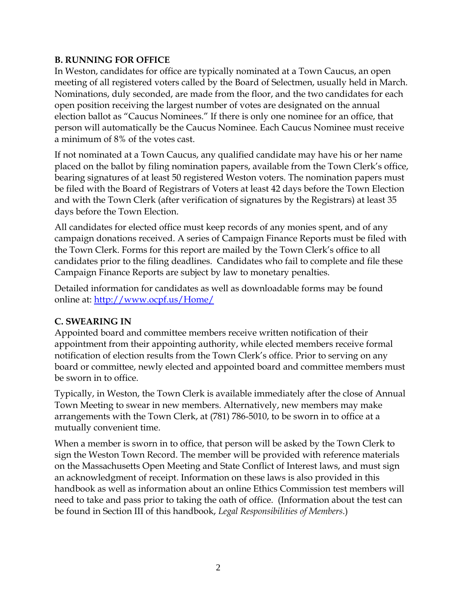#### **B. RUNNING FOR OFFICE**

In Weston, candidates for office are typically nominated at a Town Caucus, an open meeting of all registered voters called by the Board of Selectmen, usually held in March. Nominations, duly seconded, are made from the floor, and the two candidates for each open position receiving the largest number of votes are designated on the annual election ballot as "Caucus Nominees." If there is only one nominee for an office, that person will automatically be the Caucus Nominee. Each Caucus Nominee must receive a minimum of 8% of the votes cast.

If not nominated at a Town Caucus, any qualified candidate may have his or her name placed on the ballot by filing nomination papers, available from the Town Clerk's office, bearing signatures of at least 50 registered Weston voters. The nomination papers must be filed with the Board of Registrars of Voters at least 42 days before the Town Election and with the Town Clerk (after verification of signatures by the Registrars) at least 35 days before the Town Election.

All candidates for elected office must keep records of any monies spent, and of any campaign donations received. A series of Campaign Finance Reports must be filed with the Town Clerk. Forms for this report are mailed by the Town Clerk's office to all candidates prior to the filing deadlines. Candidates who fail to complete and file these Campaign Finance Reports are subject by law to monetary penalties.

Detailed information for candidates as well as downloadable forms may be found online at: <http://www.ocpf.us/Home/>

## **C. SWEARING IN**

Appointed board and committee members receive written notification of their appointment from their appointing authority, while elected members receive formal notification of election results from the Town Clerk's office. Prior to serving on any board or committee, newly elected and appointed board and committee members must be sworn in to office.

Typically, in Weston, the Town Clerk is available immediately after the close of Annual Town Meeting to swear in new members. Alternatively, new members may make arrangements with the Town Clerk, at (781) 786-5010, to be sworn in to office at a mutually convenient time.

When a member is sworn in to office, that person will be asked by the Town Clerk to sign the Weston Town Record. The member will be provided with reference materials on the Massachusetts Open Meeting and State Conflict of Interest laws, and must sign an acknowledgment of receipt. Information on these laws is also provided in this handbook as well as information about an online Ethics Commission test members will need to take and pass prior to taking the oath of office. (Information about the test can be found in Section III of this handbook, *Legal Responsibilities of Members*.)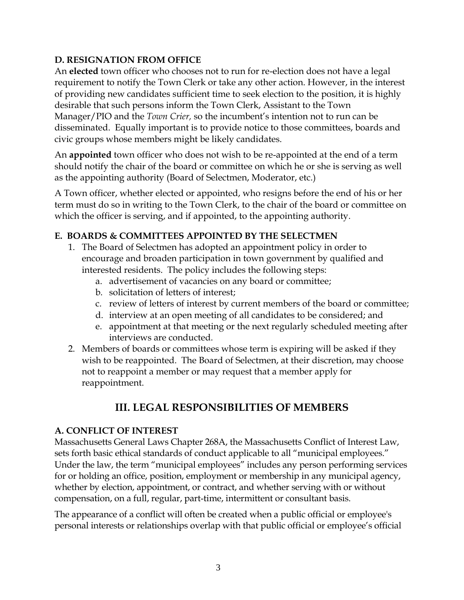#### **D. RESIGNATION FROM OFFICE**

An **elected** town officer who chooses not to run for re-election does not have a legal requirement to notify the Town Clerk or take any other action. However, in the interest of providing new candidates sufficient time to seek election to the position, it is highly desirable that such persons inform the Town Clerk, Assistant to the Town Manager/PIO and the *Town Crier,* so the incumbent's intention not to run can be disseminated. Equally important is to provide notice to those committees, boards and civic groups whose members might be likely candidates.

An **appointed** town officer who does not wish to be re-appointed at the end of a term should notify the chair of the board or committee on which he or she is serving as well as the appointing authority (Board of Selectmen, Moderator, etc.)

A Town officer, whether elected or appointed, who resigns before the end of his or her term must do so in writing to the Town Clerk, to the chair of the board or committee on which the officer is serving, and if appointed, to the appointing authority.

## **E. BOARDS & COMMITTEES APPOINTED BY THE SELECTMEN**

- 1. The Board of Selectmen has adopted an appointment policy in order to encourage and broaden participation in town government by qualified and interested residents. The policy includes the following steps:
	- a. advertisement of vacancies on any board or committee;
	- b. solicitation of letters of interest;
	- c. review of letters of interest by current members of the board or committee;
	- d. interview at an open meeting of all candidates to be considered; and
	- e. appointment at that meeting or the next regularly scheduled meeting after interviews are conducted.
- 2. Members of boards or committees whose term is expiring will be asked if they wish to be reappointed. The Board of Selectmen, at their discretion, may choose not to reappoint a member or may request that a member apply for reappointment.

# **III. LEGAL RESPONSIBILITIES OF MEMBERS**

#### **A. CONFLICT OF INTEREST**

Massachusetts General Laws Chapter 268A, the Massachusetts Conflict of Interest Law, sets forth basic ethical standards of conduct applicable to all "municipal employees." Under the law, the term "municipal employees" includes any person performing services for or holding an office, position, employment or membership in any municipal agency, whether by election, appointment, or contract, and whether serving with or without compensation, on a full, regular, part-time, intermittent or consultant basis.

The appearance of a conflict will often be created when a public official or employee's personal interests or relationships overlap with that public official or employee's official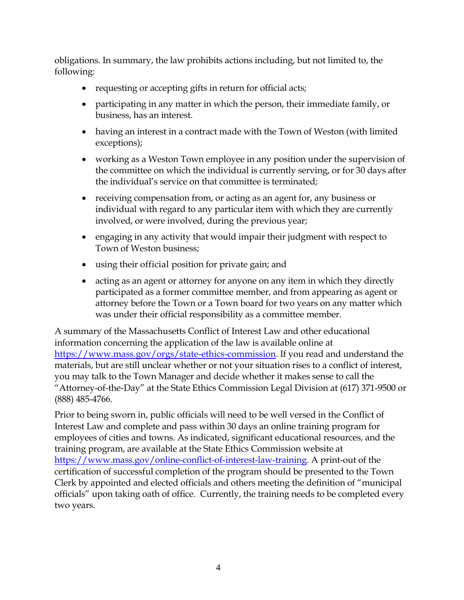obligations. In summary, the law prohibits actions including, but not limited to, the following:

- requesting or accepting gifts in return for official acts;
- participating in any matter in which the person, their immediate family, or business, has an interest.
- having an interest in a contract made with the Town of Weston (with limited exceptions);
- working as a Weston Town employee in any position under the supervision of the committee on which the individual is currently serving, or for 30 days after the individual's service on that committee is terminated;
- receiving compensation from, or acting as an agent for, any business or individual with regard to any particular item with which they are currently involved, or were involved, during the previous year;
- engaging in any activity that would impair their judgment with respect to Town of Weston business;
- using their official position for private gain; and
- acting as an agent or attorney for anyone on any item in which they directly participated as a former committee member, and from appearing as agent or attorney before the Town or a Town board for two years on any matter which was under their official responsibility as a committee member.

A summary of the Massachusetts Conflict of Interest Law and other educational information concerning the application of the law is available online at [https://www.mass.gov/orgs/state-ethics-commission.](https://www.mass.gov/orgs/state-ethics-commission) If you read and understand the materials, but are still unclear whether or not your situation rises to a conflict of interest, you may talk to the Town Manager and decide whether it makes sense to call the "Attorney-of-the-Day" at the State Ethics Commission Legal Division at (617) 371-9500 or (888) 485-4766.

Prior to being sworn in, public officials will need to be well versed in the Conflict of Interest Law and complete and pass within 30 days an online training program for employees of cities and towns. As indicated, significant educational resources, and the training program, are available at the State Ethics Commission website at [https://www.mass.gov/online-conflict-of-interest-law-training.](https://www.mass.gov/online-conflict-of-interest-law-training) A print-out of the certification of successful completion of the program should be presented to the Town Clerk by appointed and elected officials and others meeting the definition of "municipal officials" upon taking oath of office. Currently, the training needs to be completed every two years.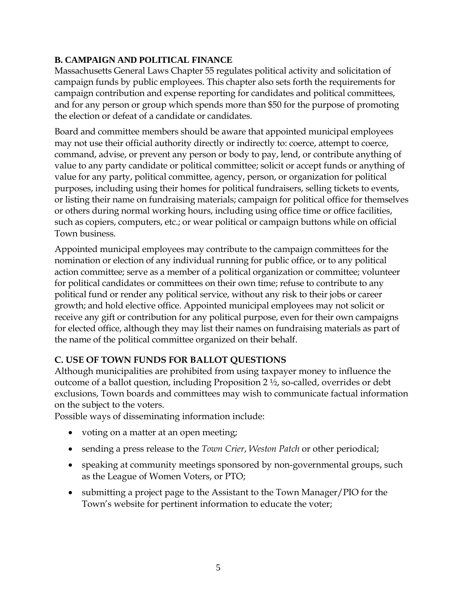#### **B. CAMPAIGN AND POLITICAL FINANCE**

Massachusetts General Laws Chapter 55 regulates political activity and solicitation of campaign funds by public employees. This chapter also sets forth the requirements for campaign contribution and expense reporting for candidates and political committees, and for any person or group which spends more than \$50 for the purpose of promoting the election or defeat of a candidate or candidates.

Board and committee members should be aware that appointed municipal employees may not use their official authority directly or indirectly to: coerce, attempt to coerce, command, advise, or prevent any person or body to pay, lend, or contribute anything of value to any party candidate or political committee; solicit or accept funds or anything of value for any party, political committee, agency, person, or organization for political purposes, including using their homes for political fundraisers, selling tickets to events, or listing their name on fundraising materials; campaign for political office for themselves or others during normal working hours, including using office time or office facilities, such as copiers, computers, etc.; or wear political or campaign buttons while on official Town business.

Appointed municipal employees may contribute to the campaign committees for the nomination or election of any individual running for public office, or to any political action committee; serve as a member of a political organization or committee; volunteer for political candidates or committees on their own time; refuse to contribute to any political fund or render any political service, without any risk to their jobs or career growth; and hold elective office. Appointed municipal employees may not solicit or receive any gift or contribution for any political purpose, even for their own campaigns for elected office, although they may list their names on fundraising materials as part of the name of the political committee organized on their behalf.

## **C. USE OF TOWN FUNDS FOR BALLOT QUESTIONS**

Although municipalities are prohibited from using taxpayer money to influence the outcome of a ballot question, including Proposition 2 ½, so-called, overrides or debt exclusions, Town boards and committees may wish to communicate factual information on the subject to the voters.

Possible ways of disseminating information include:

- voting on a matter at an open meeting;
- sending a press release to the *Town Crier*, *Weston Patch* or other periodical;
- speaking at community meetings sponsored by non-governmental groups, such as the League of Women Voters, or PTO;
- submitting a project page to the Assistant to the Town Manager/PIO for the Town's website for pertinent information to educate the voter;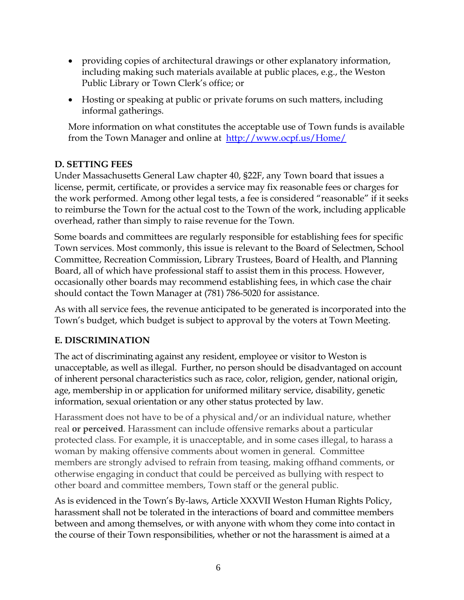- providing copies of architectural drawings or other explanatory information, including making such materials available at public places, e.g., the Weston Public Library or Town Clerk's office; or
- Hosting or speaking at public or private forums on such matters, including informal gatherings.

More information on what constitutes the acceptable use of Town funds is available from the Town Manager and online at <http://www.ocpf.us/Home/>

## **D. SETTING FEES**

Under Massachusetts General Law chapter 40, §22F, any Town board that issues a license, permit, certificate, or provides a service may fix reasonable fees or charges for the work performed. Among other legal tests, a fee is considered "reasonable" if it seeks to reimburse the Town for the actual cost to the Town of the work, including applicable overhead, rather than simply to raise revenue for the Town.

Some boards and committees are regularly responsible for establishing fees for specific Town services. Most commonly, this issue is relevant to the Board of Selectmen, School Committee, Recreation Commission, Library Trustees, Board of Health, and Planning Board, all of which have professional staff to assist them in this process. However, occasionally other boards may recommend establishing fees, in which case the chair should contact the Town Manager at (781) 786-5020 for assistance.

As with all service fees, the revenue anticipated to be generated is incorporated into the Town's budget, which budget is subject to approval by the voters at Town Meeting.

## **E. DISCRIMINATION**

The act of discriminating against any resident, employee or visitor to Weston is unacceptable, as well as illegal. Further, no person should be disadvantaged on account of inherent personal characteristics such as race, color, religion, gender, national origin, age, membership in or application for uniformed military service, disability, genetic information, sexual orientation or any other status protected by law.

Harassment does not have to be of a physical and/or an individual nature, whether real **or perceived**. Harassment can include offensive remarks about a particular protected class. For example, it is unacceptable, and in some cases illegal, to harass a woman by making offensive comments about women in general. Committee members are strongly advised to refrain from teasing, making offhand comments, or otherwise engaging in conduct that could be perceived as bullying with respect to other board and committee members, Town staff or the general public.

As is evidenced in the Town's By-laws, Article XXXVII Weston Human Rights Policy, harassment shall not be tolerated in the interactions of board and committee members between and among themselves, or with anyone with whom they come into contact in the course of their Town responsibilities, whether or not the harassment is aimed at a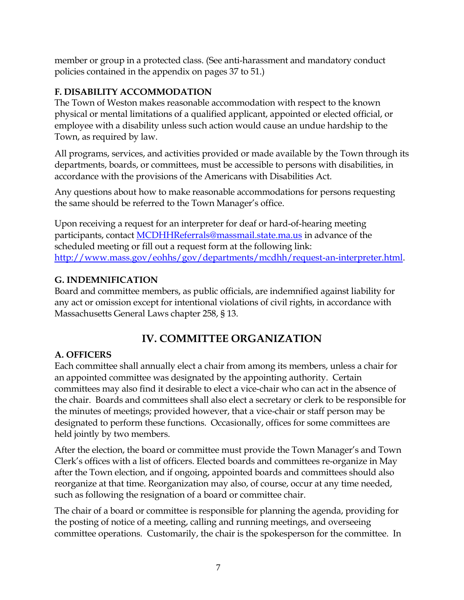member or group in a protected class. (See anti-harassment and mandatory conduct policies contained in the appendix on pages 37 to 51.)

## **F. DISABILITY ACCOMMODATION**

The Town of Weston makes reasonable accommodation with respect to the known physical or mental limitations of a qualified applicant, appointed or elected official, or employee with a disability unless such action would cause an undue hardship to the Town, as required by law.

All programs, services, and activities provided or made available by the Town through its departments, boards, or committees, must be accessible to persons with disabilities, in accordance with the provisions of the Americans with Disabilities Act.

Any questions about how to make reasonable accommodations for persons requesting the same should be referred to the Town Manager's office.

Upon receiving a request for an interpreter for deaf or hard-of-hearing meeting participants, contact [MCDHHReferrals@massmail.state.ma.us](mailto:MCDHHReferrals@massmail.state.ma.us) in advance of the scheduled meeting or fill out a request form at the following link: [http://www.mass.gov/eohhs/gov/departments/mcdhh/request-an-interpreter.html.](http://www.mass.gov/eohhs/gov/departments/mcdhh/request-an-interpreter.html)

## **G. INDEMNIFICATION**

Board and committee members, as public officials, are indemnified against liability for any act or omission except for intentional violations of civil rights, in accordance with Massachusetts General Laws chapter 258, § 13.

# **IV. COMMITTEE ORGANIZATION**

## **A. OFFICERS**

Each committee shall annually elect a chair from among its members, unless a chair for an appointed committee was designated by the appointing authority. Certain committees may also find it desirable to elect a vice-chair who can act in the absence of the chair. Boards and committees shall also elect a secretary or clerk to be responsible for the minutes of meetings; provided however, that a vice-chair or staff person may be designated to perform these functions. Occasionally, offices for some committees are held jointly by two members.

After the election, the board or committee must provide the Town Manager's and Town Clerk's offices with a list of officers. Elected boards and committees re-organize in May after the Town election, and if ongoing, appointed boards and committees should also reorganize at that time. Reorganization may also, of course, occur at any time needed, such as following the resignation of a board or committee chair.

The chair of a board or committee is responsible for planning the agenda, providing for the posting of notice of a meeting, calling and running meetings, and overseeing committee operations. Customarily, the chair is the spokesperson for the committee. In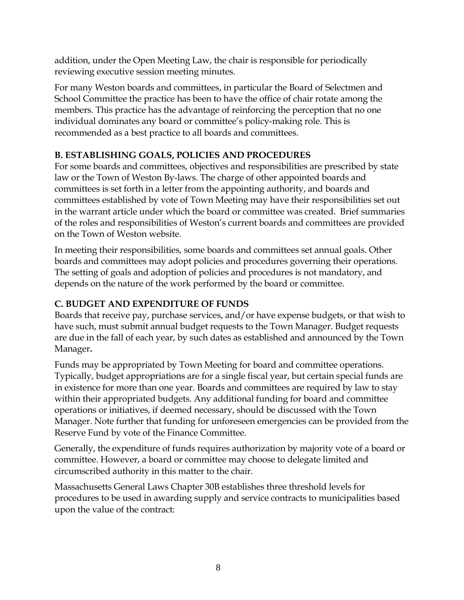addition, under the Open Meeting Law, the chair is responsible for periodically reviewing executive session meeting minutes.

For many Weston boards and committees, in particular the Board of Selectmen and School Committee the practice has been to have the office of chair rotate among the members. This practice has the advantage of reinforcing the perception that no one individual dominates any board or committee's policy-making role. This is recommended as a best practice to all boards and committees.

## **B. ESTABLISHING GOALS, POLICIES AND PROCEDURES**

For some boards and committees, objectives and responsibilities are prescribed by state law or the Town of Weston By-laws. The charge of other appointed boards and committees is set forth in a letter from the appointing authority, and boards and committees established by vote of Town Meeting may have their responsibilities set out in the warrant article under which the board or committee was created. Brief summaries of the roles and responsibilities of Weston's current boards and committees are provided on the Town of Weston website.

In meeting their responsibilities, some boards and committees set annual goals. Other boards and committees may adopt policies and procedures governing their operations. The setting of goals and adoption of policies and procedures is not mandatory, and depends on the nature of the work performed by the board or committee.

## **C. BUDGET AND EXPENDITURE OF FUNDS**

Boards that receive pay, purchase services, and/or have expense budgets, or that wish to have such, must submit annual budget requests to the Town Manager. Budget requests are due in the fall of each year, by such dates as established and announced by the Town Manager**.**

Funds may be appropriated by Town Meeting for board and committee operations. Typically, budget appropriations are for a single fiscal year, but certain special funds are in existence for more than one year. Boards and committees are required by law to stay within their appropriated budgets. Any additional funding for board and committee operations or initiatives, if deemed necessary, should be discussed with the Town Manager. Note further that funding for unforeseen emergencies can be provided from the Reserve Fund by vote of the Finance Committee.

Generally, the expenditure of funds requires authorization by majority vote of a board or committee. However, a board or committee may choose to delegate limited and circumscribed authority in this matter to the chair.

Massachusetts General Laws Chapter 30B establishes three threshold levels for procedures to be used in awarding supply and service contracts to municipalities based upon the value of the contract: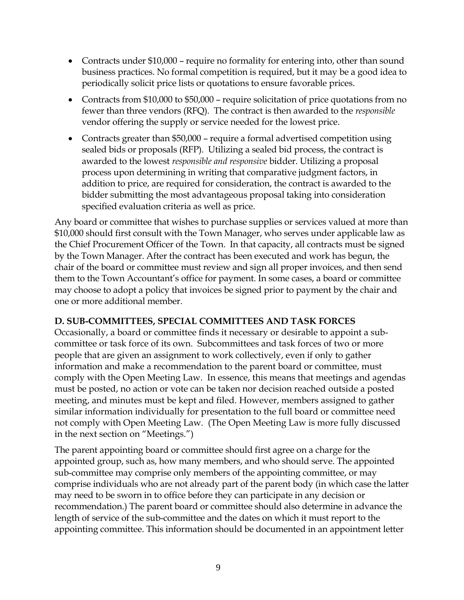- Contracts under \$10,000 require no formality for entering into, other than sound business practices. No formal competition is required, but it may be a good idea to periodically solicit price lists or quotations to ensure favorable prices.
- Contracts from \$10,000 to \$50,000 require solicitation of price quotations from no fewer than three vendors (RFQ). The contract is then awarded to the *responsible* vendor offering the supply or service needed for the lowest price.
- Contracts greater than \$50,000 require a formal advertised competition using sealed bids or proposals (RFP). Utilizing a sealed bid process, the contract is awarded to the lowest *responsible and responsive* bidder. Utilizing a proposal process upon determining in writing that comparative judgment factors, in addition to price, are required for consideration, the contract is awarded to the bidder submitting the most advantageous proposal taking into consideration specified evaluation criteria as well as price.

Any board or committee that wishes to purchase supplies or services valued at more than \$10,000 should first consult with the Town Manager, who serves under applicable law as the Chief Procurement Officer of the Town. In that capacity, all contracts must be signed by the Town Manager. After the contract has been executed and work has begun, the chair of the board or committee must review and sign all proper invoices, and then send them to the Town Accountant's office for payment. In some cases, a board or committee may choose to adopt a policy that invoices be signed prior to payment by the chair and one or more additional member.

#### **D. SUB-COMMITTEES, SPECIAL COMMITTEES AND TASK FORCES**

Occasionally, a board or committee finds it necessary or desirable to appoint a subcommittee or task force of its own. Subcommittees and task forces of two or more people that are given an assignment to work collectively, even if only to gather information and make a recommendation to the parent board or committee, must comply with the Open Meeting Law. In essence, this means that meetings and agendas must be posted, no action or vote can be taken nor decision reached outside a posted meeting, and minutes must be kept and filed. However, members assigned to gather similar information individually for presentation to the full board or committee need not comply with Open Meeting Law. (The Open Meeting Law is more fully discussed in the next section on "Meetings.")

The parent appointing board or committee should first agree on a charge for the appointed group, such as, how many members, and who should serve. The appointed sub-committee may comprise only members of the appointing committee, or may comprise individuals who are not already part of the parent body (in which case the latter may need to be sworn in to office before they can participate in any decision or recommendation.) The parent board or committee should also determine in advance the length of service of the sub-committee and the dates on which it must report to the appointing committee. This information should be documented in an appointment letter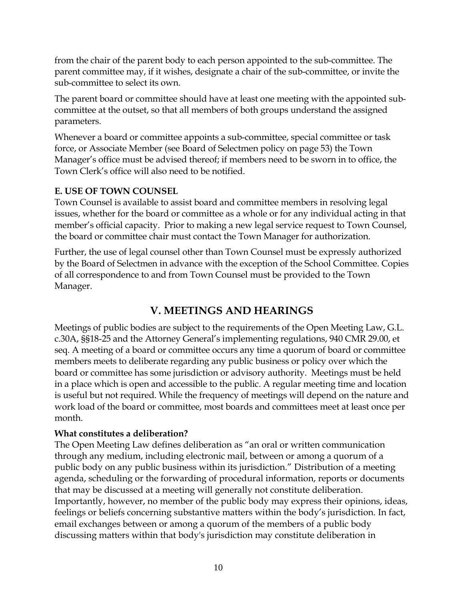from the chair of the parent body to each person appointed to the sub-committee. The parent committee may, if it wishes, designate a chair of the sub-committee, or invite the sub-committee to select its own.

The parent board or committee should have at least one meeting with the appointed subcommittee at the outset, so that all members of both groups understand the assigned parameters.

Whenever a board or committee appoints a sub-committee, special committee or task force, or Associate Member (see Board of Selectmen policy on page 53) the Town Manager's office must be advised thereof; if members need to be sworn in to office, the Town Clerk's office will also need to be notified.

#### **E. USE OF TOWN COUNSEL**

Town Counsel is available to assist board and committee members in resolving legal issues, whether for the board or committee as a whole or for any individual acting in that member's official capacity. Prior to making a new legal service request to Town Counsel, the board or committee chair must contact the Town Manager for authorization.

Further, the use of legal counsel other than Town Counsel must be expressly authorized by the Board of Selectmen in advance with the exception of the School Committee. Copies of all correspondence to and from Town Counsel must be provided to the Town Manager.

# **V. MEETINGS AND HEARINGS**

Meetings of public bodies are subject to the requirements of the Open Meeting Law, G.L. c.30A, §§18-25 and the Attorney General's implementing regulations, 940 CMR 29.00, et seq. A meeting of a board or committee occurs any time a quorum of board or committee members meets to deliberate regarding any public business or policy over which the board or committee has some jurisdiction or advisory authority. Meetings must be held in a place which is open and accessible to the public. A regular meeting time and location is useful but not required. While the frequency of meetings will depend on the nature and work load of the board or committee, most boards and committees meet at least once per month.

#### **What constitutes a deliberation?**

The Open Meeting Law defines deliberation as "an oral or written communication through any medium, including electronic mail, between or among a quorum of a public body on any public business within its jurisdiction." Distribution of a meeting agenda, scheduling or the forwarding of procedural information, reports or documents that may be discussed at a meeting will generally not constitute deliberation. Importantly, however, no member of the public body may express their opinions, ideas, feelings or beliefs concerning substantive matters within the body's jurisdiction. In fact, email exchanges between or among a quorum of the members of a public body discussing matters within that body's jurisdiction may constitute deliberation in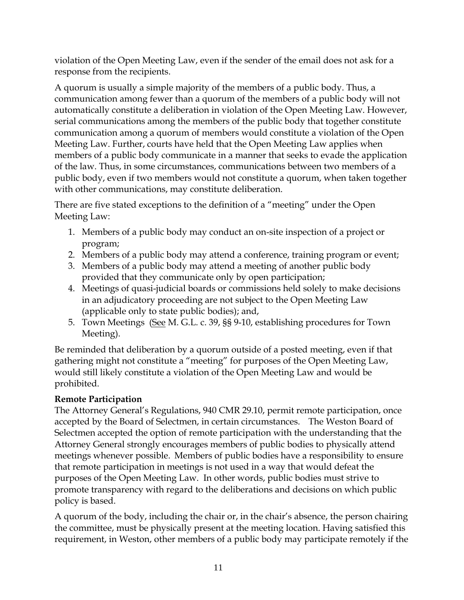violation of the Open Meeting Law, even if the sender of the email does not ask for a response from the recipients.

A quorum is usually a simple majority of the members of a public body. Thus, a communication among fewer than a quorum of the members of a public body will not automatically constitute a deliberation in violation of the Open Meeting Law. However, serial communications among the members of the public body that together constitute communication among a quorum of members would constitute a violation of the Open Meeting Law. Further, courts have held that the Open Meeting Law applies when members of a public body communicate in a manner that seeks to evade the application of the law. Thus, in some circumstances, communications between two members of a public body, even if two members would not constitute a quorum, when taken together with other communications, may constitute deliberation.

There are five stated exceptions to the definition of a "meeting" under the Open Meeting Law:

- 1. Members of a public body may conduct an on-site inspection of a project or program;
- 2. Members of a public body may attend a conference, training program or event;
- 3. Members of a public body may attend a meeting of another public body provided that they communicate only by open participation;
- 4. Meetings of quasi-judicial boards or commissions held solely to make decisions in an adjudicatory proceeding are not subject to the Open Meeting Law (applicable only to state public bodies); and,
- 5. Town Meetings (See M. G.L. c. 39, §§ 9-10, establishing procedures for Town Meeting).

Be reminded that deliberation by a quorum outside of a posted meeting, even if that gathering might not constitute a "meeting" for purposes of the Open Meeting Law, would still likely constitute a violation of the Open Meeting Law and would be prohibited.

## **Remote Participation**

The Attorney General's Regulations, 940 CMR 29.10, permit remote participation, once accepted by the Board of Selectmen, in certain circumstances. The Weston Board of Selectmen accepted the option of remote participation with the understanding that the Attorney General strongly encourages members of public bodies to physically attend meetings whenever possible. Members of public bodies have a responsibility to ensure that remote participation in meetings is not used in a way that would defeat the purposes of the Open Meeting Law. In other words, public bodies must strive to promote transparency with regard to the deliberations and decisions on which public policy is based.

A quorum of the body, including the chair or, in the chair's absence, the person chairing the committee, must be physically present at the meeting location. Having satisfied this requirement, in Weston, other members of a public body may participate remotely if the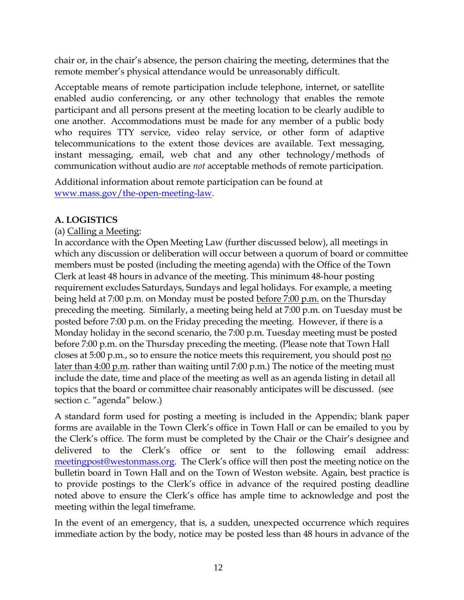chair or, in the chair's absence, the person chairing the meeting, determines that the remote member's physical attendance would be unreasonably difficult.

Acceptable means of remote participation include telephone, internet, or satellite enabled audio conferencing, or any other technology that enables the remote participant and all persons present at the meeting location to be clearly audible to one another. Accommodations must be made for any member of a public body who requires TTY service, video relay service, or other form of adaptive telecommunications to the extent those devices are available. Text messaging, instant messaging, email, web chat and any other technology/methods of communication without audio are *not* acceptable methods of remote participation.

Additional information about remote participation can be found at [www.mass.gov/the-open-meeting-law.](http://www.mass.gov/the-open-meeting-law)

## **A. LOGISTICS**

## (a) Calling a Meeting:

In accordance with the Open Meeting Law (further discussed below), all meetings in which any discussion or deliberation will occur between a quorum of board or committee members must be posted (including the meeting agenda) with the Office of the Town Clerk at least 48 hours in advance of the meeting. This minimum 48-hour posting requirement excludes Saturdays, Sundays and legal holidays. For example, a meeting being held at 7:00 p.m. on Monday must be posted before 7:00 p.m. on the Thursday preceding the meeting. Similarly, a meeting being held at 7:00 p.m. on Tuesday must be posted before 7:00 p.m. on the Friday preceding the meeting. However, if there is a Monday holiday in the second scenario, the 7:00 p.m. Tuesday meeting must be posted before 7:00 p.m. on the Thursday preceding the meeting. (Please note that Town Hall closes at 5:00 p.m., so to ensure the notice meets this requirement, you should post no later than 4:00 p.m. rather than waiting until 7:00 p.m.) The notice of the meeting must include the date, time and place of the meeting as well as an agenda listing in detail all topics that the board or committee chair reasonably anticipates will be discussed. (see section c. "agenda" below.)

A standard form used for posting a meeting is included in the Appendix; blank paper forms are available in the Town Clerk's office in Town Hall or can be emailed to you by the Clerk's office. The form must be completed by the Chair or the Chair's designee and delivered to the Clerk's office or sent to the following email address: <meetingpost@westonmass.org>. The Clerk's office will then post the meeting notice on the bulletin board in Town Hall and on the Town of Weston website. Again, best practice is to provide postings to the Clerk's office in advance of the required posting deadline noted above to ensure the Clerk's office has ample time to acknowledge and post the meeting within the legal timeframe.

In the event of an emergency, that is, a sudden, unexpected occurrence which requires immediate action by the body, notice may be posted less than 48 hours in advance of the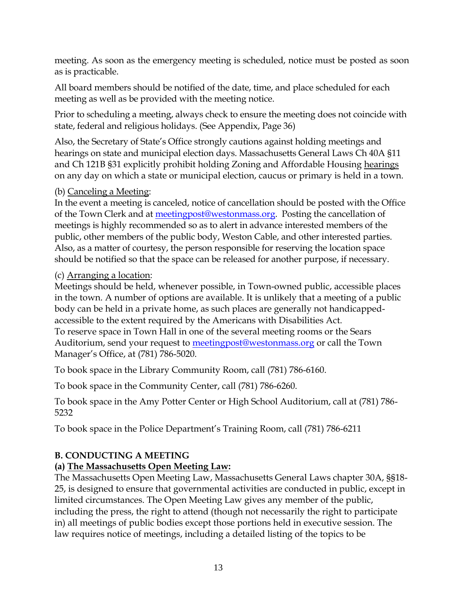meeting. As soon as the emergency meeting is scheduled, notice must be posted as soon as is practicable.

All board members should be notified of the date, time, and place scheduled for each meeting as well as be provided with the meeting notice.

Prior to scheduling a meeting, always check to ensure the meeting does not coincide with state, federal and religious holidays. (See Appendix, Page 36)

Also, the Secretary of State's Office strongly cautions against holding meetings and hearings on state and municipal election days. Massachusetts General Laws Ch 40A §11 and Ch 121B §31 explicitly prohibit holding Zoning and Affordable Housing hearings on any day on which a state or municipal election, caucus or primary is held in a town.

#### (b) Canceling a Meeting:

In the event a meeting is canceled, notice of cancellation should be posted with the Office of the Town Clerk and at [meetingpost@westonmass.org.](meetingpost@westonmass.org) Posting the cancellation of meetings is highly recommended so as to alert in advance interested members of the public, other members of the public body, Weston Cable, and other interested parties. Also, as a matter of courtesy, the person responsible for reserving the location space should be notified so that the space can be released for another purpose, if necessary.

#### (c) Arranging a location:

Meetings should be held, whenever possible, in Town-owned public, accessible places in the town. A number of options are available. It is unlikely that a meeting of a public body can be held in a private home, as such places are generally not handicappedaccessible to the extent required by the Americans with Disabilities Act. To reserve space in Town Hall in one of the several meeting rooms or the Sears Auditorium, send your request to [meetingpost@westonmass.org](mailto:meetingpost@westonmass.org) or call the Town Manager's Office, at (781) 786-5020.

To book space in the Library Community Room, call (781) 786-6160.

To book space in the Community Center, call (781) 786-6260.

To book space in the Amy Potter Center or High School Auditorium, call at (781) 786- 5232

To book space in the Police Department's Training Room, call (781) 786-6211

## **B. CONDUCTING A MEETING**

## **(a) The Massachusetts Open Meeting Law:**

The Massachusetts Open Meeting Law, Massachusetts General Laws chapter 30A, §§18- 25, is designed to ensure that governmental activities are conducted in public, except in limited circumstances. The Open Meeting Law gives any member of the public, including the press, the right to attend (though not necessarily the right to participate in) all meetings of public bodies except those portions held in executive session. The law requires notice of meetings, including a detailed listing of the topics to be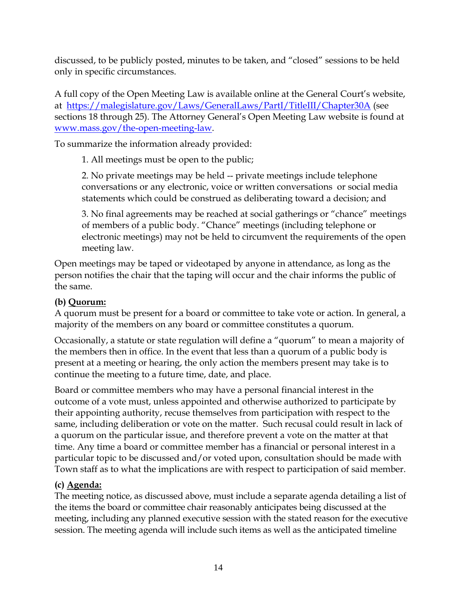discussed, to be publicly posted, minutes to be taken, and "closed" sessions to be held only in specific circumstances.

A full copy of the Open Meeting Law is available online at the General Court's website, at <https://malegislature.gov/Laws/GeneralLaws/PartI/TitleIII/Chapter30A> (see sections 18 through 25). The Attorney General's Open Meeting Law website is found at [www.mass.gov/the-open-meeting-law.](http://www.mass.gov/the-open-meeting-law)

To summarize the information already provided:

1. All meetings must be open to the public;

2. No private meetings may be held -- private meetings include telephone conversations or any electronic, voice or written conversations or social media statements which could be construed as deliberating toward a decision; and

3. No final agreements may be reached at social gatherings or "chance" meetings of members of a public body. "Chance" meetings (including telephone or electronic meetings) may not be held to circumvent the requirements of the open meeting law.

Open meetings may be taped or videotaped by anyone in attendance, as long as the person notifies the chair that the taping will occur and the chair informs the public of the same.

## **(b) Quorum:**

A quorum must be present for a board or committee to take vote or action. In general, a majority of the members on any board or committee constitutes a quorum.

Occasionally, a statute or state regulation will define a "quorum" to mean a majority of the members then in office. In the event that less than a quorum of a public body is present at a meeting or hearing, the only action the members present may take is to continue the meeting to a future time, date, and place.

Board or committee members who may have a personal financial interest in the outcome of a vote must, unless appointed and otherwise authorized to participate by their appointing authority, recuse themselves from participation with respect to the same, including deliberation or vote on the matter. Such recusal could result in lack of a quorum on the particular issue, and therefore prevent a vote on the matter at that time. Any time a board or committee member has a financial or personal interest in a particular topic to be discussed and/or voted upon, consultation should be made with Town staff as to what the implications are with respect to participation of said member.

## **(c) Agenda:**

The meeting notice, as discussed above, must include a separate agenda detailing a list of the items the board or committee chair reasonably anticipates being discussed at the meeting, including any planned executive session with the stated reason for the executive session. The meeting agenda will include such items as well as the anticipated timeline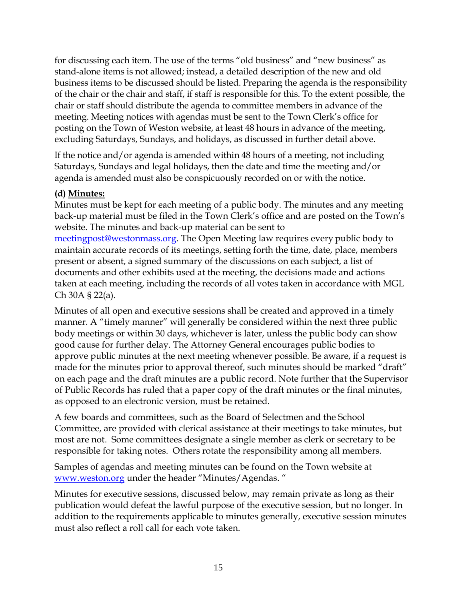for discussing each item. The use of the terms "old business" and "new business" as stand-alone items is not allowed; instead, a detailed description of the new and old business items to be discussed should be listed. Preparing the agenda is the responsibility of the chair or the chair and staff, if staff is responsible for this. To the extent possible, the chair or staff should distribute the agenda to committee members in advance of the meeting. Meeting notices with agendas must be sent to the Town Clerk's office for posting on the Town of Weston website, at least 48 hours in advance of the meeting, excluding Saturdays, Sundays, and holidays, as discussed in further detail above.

If the notice and/or agenda is amended within 48 hours of a meeting, not including Saturdays, Sundays and legal holidays, then the date and time the meeting and/or agenda is amended must also be conspicuously recorded on or with the notice.

#### **(d) Minutes:**

Minutes must be kept for each meeting of a public body. The minutes and any meeting back-up material must be filed in the Town Clerk's office and are posted on the Town's website. The minutes and back-up material can be sent to [meetingpost@westonmass.org.](mailto:meetingpost@westonmass.org) The Open Meeting law requires every public body to maintain accurate records of its meetings, setting forth the time, date, place, members present or absent, a signed summary of the discussions on each subject, a list of documents and other exhibits used at the meeting, the decisions made and actions taken at each meeting, including the records of all votes taken in accordance with MGL Ch 30A § 22(a).

Minutes of all open and executive sessions shall be created and approved in a timely manner. A "timely manner" will generally be considered within the next three public body meetings or within 30 days, whichever is later, unless the public body can show good cause for further delay. The Attorney General encourages public bodies to approve public minutes at the next meeting whenever possible. Be aware, if a request is made for the minutes prior to approval thereof, such minutes should be marked "draft" on each page and the draft minutes are a public record. Note further that the Supervisor of Public Records has ruled that a paper copy of the draft minutes or the final minutes, as opposed to an electronic version, must be retained.

A few boards and committees, such as the Board of Selectmen and the School Committee, are provided with clerical assistance at their meetings to take minutes, but most are not. Some committees designate a single member as clerk or secretary to be responsible for taking notes. Others rotate the responsibility among all members.

Samples of agendas and meeting minutes can be found on the Town website at [www.weston.org](http://www.weston.org/) under the header "Minutes/Agendas. "

Minutes for executive sessions, discussed below, may remain private as long as their publication would defeat the lawful purpose of the executive session, but no longer. In addition to the requirements applicable to minutes generally, executive session minutes must also reflect a roll call for each vote taken.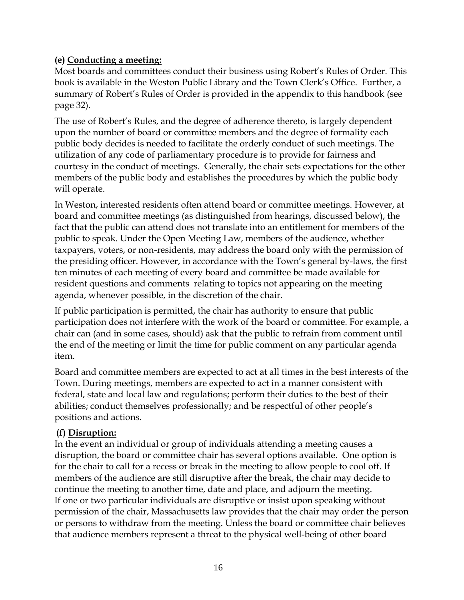#### **(e) Conducting a meeting:**

Most boards and committees conduct their business using Robert's Rules of Order. This book is available in the Weston Public Library and the Town Clerk's Office. Further, a summary of Robert's Rules of Order is provided in the appendix to this handbook (see page 32).

The use of Robert's Rules, and the degree of adherence thereto, is largely dependent upon the number of board or committee members and the degree of formality each public body decides is needed to facilitate the orderly conduct of such meetings. The utilization of any code of parliamentary procedure is to provide for fairness and courtesy in the conduct of meetings. Generally, the chair sets expectations for the other members of the public body and establishes the procedures by which the public body will operate.

In Weston, interested residents often attend board or committee meetings. However, at board and committee meetings (as distinguished from hearings, discussed below), the fact that the public can attend does not translate into an entitlement for members of the public to speak. Under the Open Meeting Law, members of the audience, whether taxpayers, voters, or non-residents, may address the board only with the permission of the presiding officer. However, in accordance with the Town's general by-laws, the first ten minutes of each meeting of every board and committee be made available for resident questions and comments relating to topics not appearing on the meeting agenda, whenever possible, in the discretion of the chair.

If public participation is permitted, the chair has authority to ensure that public participation does not interfere with the work of the board or committee. For example, a chair can (and in some cases, should) ask that the public to refrain from comment until the end of the meeting or limit the time for public comment on any particular agenda item.

Board and committee members are expected to act at all times in the best interests of the Town. During meetings, members are expected to act in a manner consistent with federal, state and local law and regulations; perform their duties to the best of their abilities; conduct themselves professionally; and be respectful of other people's positions and actions.

#### **(f) Disruption:**

In the event an individual or group of individuals attending a meeting causes a disruption, the board or committee chair has several options available. One option is for the chair to call for a recess or break in the meeting to allow people to cool off. If members of the audience are still disruptive after the break, the chair may decide to continue the meeting to another time, date and place, and adjourn the meeting. If one or two particular individuals are disruptive or insist upon speaking without permission of the chair, Massachusetts law provides that the chair may order the person or persons to withdraw from the meeting. Unless the board or committee chair believes that audience members represent a threat to the physical well-being of other board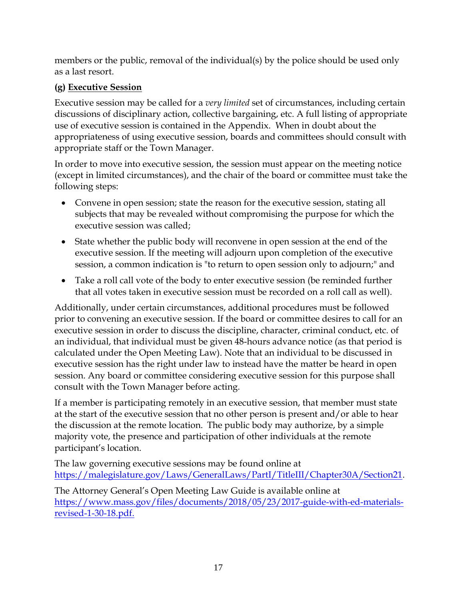members or the public, removal of the individual(s) by the police should be used only as a last resort.

## **(g) Executive Session**

Executive session may be called for a *very limited* set of circumstances, including certain discussions of disciplinary action, collective bargaining, etc. A full listing of appropriate use of executive session is contained in the Appendix. When in doubt about the appropriateness of using executive session, boards and committees should consult with appropriate staff or the Town Manager.

In order to move into executive session, the session must appear on the meeting notice (except in limited circumstances), and the chair of the board or committee must take the following steps:

- Convene in open session; state the reason for the executive session, stating all subjects that may be revealed without compromising the purpose for which the executive session was called;
- State whether the public body will reconvene in open session at the end of the executive session. If the meeting will adjourn upon completion of the executive session, a common indication is "to return to open session only to adjourn;" and
- Take a roll call vote of the body to enter executive session (be reminded further that all votes taken in executive session must be recorded on a roll call as well).

Additionally, under certain circumstances, additional procedures must be followed prior to convening an executive session. If the board or committee desires to call for an executive session in order to discuss the discipline, character, criminal conduct, etc. of an individual, that individual must be given 48-hours advance notice (as that period is calculated under the Open Meeting Law). Note that an individual to be discussed in executive session has the right under law to instead have the matter be heard in open session. Any board or committee considering executive session for this purpose shall consult with the Town Manager before acting.

If a member is participating remotely in an executive session, that member must state at the start of the executive session that no other person is present and/or able to hear the discussion at the remote location. The public body may authorize, by a simple majority vote, the presence and participation of other individuals at the remote participant's location.

The law governing executive sessions may be found online at [https://malegislature.gov/Laws/GeneralLaws/PartI/TitleIII/Chapter30A/Section21.](https://malegislature.gov/Laws/GeneralLaws/PartI/TitleIII/Chapter30A/Section21)

The Attorney General's Open Meeting Law Guide is available online at https://www.mass.gov/files/documents/2018/05/23/2017-guide-with-ed-materialsrevised-1-30-18.pdf.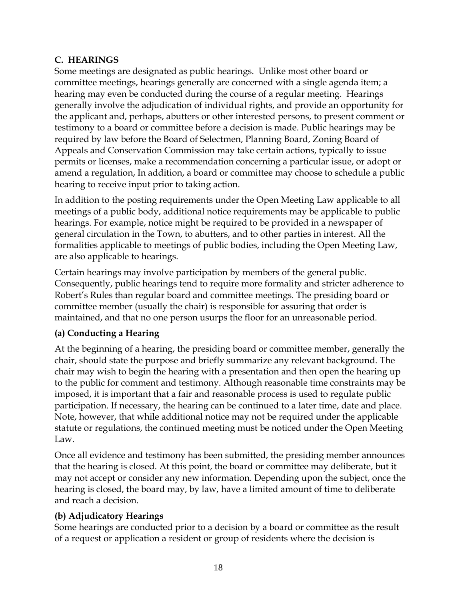#### **C. HEARINGS**

Some meetings are designated as public hearings. Unlike most other board or committee meetings, hearings generally are concerned with a single agenda item; a hearing may even be conducted during the course of a regular meeting. Hearings generally involve the adjudication of individual rights, and provide an opportunity for the applicant and, perhaps, abutters or other interested persons, to present comment or testimony to a board or committee before a decision is made. Public hearings may be required by law before the Board of Selectmen, Planning Board, Zoning Board of Appeals and Conservation Commission may take certain actions, typically to issue permits or licenses, make a recommendation concerning a particular issue, or adopt or amend a regulation, In addition, a board or committee may choose to schedule a public hearing to receive input prior to taking action.

In addition to the posting requirements under the Open Meeting Law applicable to all meetings of a public body, additional notice requirements may be applicable to public hearings. For example, notice might be required to be provided in a newspaper of general circulation in the Town, to abutters, and to other parties in interest. All the formalities applicable to meetings of public bodies, including the Open Meeting Law, are also applicable to hearings.

Certain hearings may involve participation by members of the general public. Consequently, public hearings tend to require more formality and stricter adherence to Robert's Rules than regular board and committee meetings. The presiding board or committee member (usually the chair) is responsible for assuring that order is maintained, and that no one person usurps the floor for an unreasonable period.

## **(a) Conducting a Hearing**

At the beginning of a hearing, the presiding board or committee member, generally the chair, should state the purpose and briefly summarize any relevant background. The chair may wish to begin the hearing with a presentation and then open the hearing up to the public for comment and testimony. Although reasonable time constraints may be imposed, it is important that a fair and reasonable process is used to regulate public participation. If necessary, the hearing can be continued to a later time, date and place. Note, however, that while additional notice may not be required under the applicable statute or regulations, the continued meeting must be noticed under the Open Meeting Law.

Once all evidence and testimony has been submitted, the presiding member announces that the hearing is closed. At this point, the board or committee may deliberate, but it may not accept or consider any new information. Depending upon the subject, once the hearing is closed, the board may, by law, have a limited amount of time to deliberate and reach a decision.

## **(b) Adjudicatory Hearings**

Some hearings are conducted prior to a decision by a board or committee as the result of a request or application a resident or group of residents where the decision is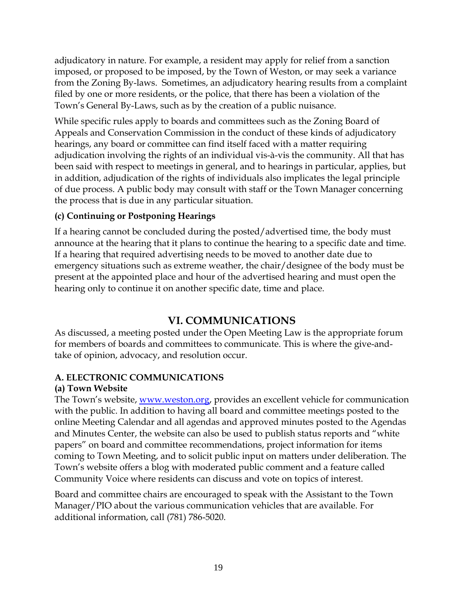adjudicatory in nature. For example, a resident may apply for relief from a sanction imposed, or proposed to be imposed, by the Town of Weston, or may seek a variance from the Zoning By-laws. Sometimes, an adjudicatory hearing results from a complaint filed by one or more residents, or the police, that there has been a violation of the Town's General By-Laws, such as by the creation of a public nuisance.

While specific rules apply to boards and committees such as the Zoning Board of Appeals and Conservation Commission in the conduct of these kinds of adjudicatory hearings, any board or committee can find itself faced with a matter requiring adjudication involving the rights of an individual vis-à-vis the community. All that has been said with respect to meetings in general, and to hearings in particular, applies, but in addition, adjudication of the rights of individuals also implicates the legal principle of due process. A public body may consult with staff or the Town Manager concerning the process that is due in any particular situation.

## **(c) Continuing or Postponing Hearings**

If a hearing cannot be concluded during the posted/advertised time, the body must announce at the hearing that it plans to continue the hearing to a specific date and time. If a hearing that required advertising needs to be moved to another date due to emergency situations such as extreme weather, the chair/designee of the body must be present at the appointed place and hour of the advertised hearing and must open the hearing only to continue it on another specific date, time and place.

# **VI. COMMUNICATIONS**

As discussed, a meeting posted under the Open Meeting Law is the appropriate forum for members of boards and committees to communicate. This is where the give-andtake of opinion, advocacy, and resolution occur.

## **A. ELECTRONIC COMMUNICATIONS**

## **(a) Town Website**

The Town's website, [www.weston.org,](http://www.weston.org/) provides an excellent vehicle for communication with the public. In addition to having all board and committee meetings posted to the online Meeting Calendar and all agendas and approved minutes posted to the Agendas and Minutes Center, the website can also be used to publish status reports and "white papers" on board and committee recommendations, project information for items coming to Town Meeting, and to solicit public input on matters under deliberation. The Town's website offers a blog with moderated public comment and a feature called Community Voice where residents can discuss and vote on topics of interest.

Board and committee chairs are encouraged to speak with the Assistant to the Town Manager/PIO about the various communication vehicles that are available. For additional information, call (781) 786-5020.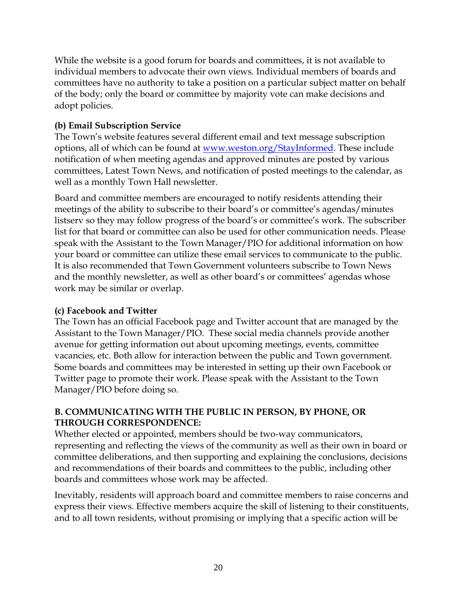While the website is a good forum for boards and committees, it is not available to individual members to advocate their own views. Individual members of boards and committees have no authority to take a position on a particular subject matter on behalf of the body; only the board or committee by majority vote can make decisions and adopt policies.

#### **(b) Email Subscription Service**

The Town's website features several different email and text message subscription options, all of which can be found at [www.weston.org/StayInformed.](www.weston.org/StayInformed) These include notification of when meeting agendas and approved minutes are posted by various committees, Latest Town News, and notification of posted meetings to the calendar, as well as a monthly Town Hall newsletter.

Board and committee members are encouraged to notify residents attending their meetings of the ability to subscribe to their board's or committee's agendas/minutes listserv so they may follow progress of the board's or committee's work. The subscriber list for that board or committee can also be used for other communication needs. Please speak with the Assistant to the Town Manager/PIO for additional information on how your board or committee can utilize these email services to communicate to the public. It is also recommended that Town Government volunteers subscribe to Town News and the monthly newsletter, as well as other board's or committees' agendas whose work may be similar or overlap.

## **(c) Facebook and Twitter**

The Town has an official Facebook page and Twitter account that are managed by the Assistant to the Town Manager/PIO. These social media channels provide another avenue for getting information out about upcoming meetings, events, committee vacancies, etc. Both allow for interaction between the public and Town government. Some boards and committees may be interested in setting up their own Facebook or Twitter page to promote their work. Please speak with the Assistant to the Town Manager/PIO before doing so.

#### **B. COMMUNICATING WITH THE PUBLIC IN PERSON, BY PHONE, OR THROUGH CORRESPONDENCE:**

Whether elected or appointed, members should be two-way communicators, representing and reflecting the views of the community as well as their own in board or committee deliberations, and then supporting and explaining the conclusions, decisions and recommendations of their boards and committees to the public, including other boards and committees whose work may be affected.

Inevitably, residents will approach board and committee members to raise concerns and express their views. Effective members acquire the skill of listening to their constituents, and to all town residents, without promising or implying that a specific action will be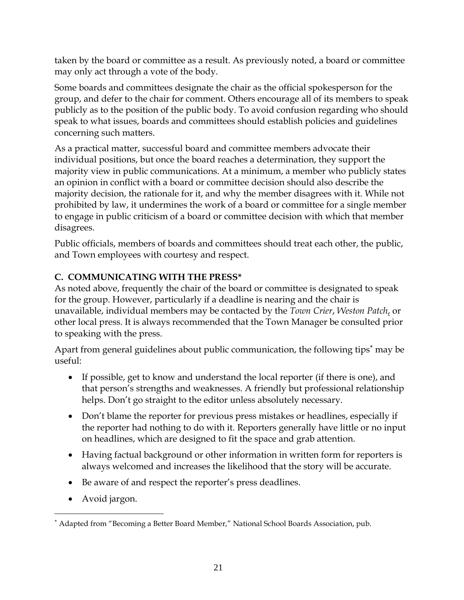taken by the board or committee as a result. As previously noted, a board or committee may only act through a vote of the body.

Some boards and committees designate the chair as the official spokesperson for the group, and defer to the chair for comment. Others encourage all of its members to speak publicly as to the position of the public body. To avoid confusion regarding who should speak to what issues, boards and committees should establish policies and guidelines concerning such matters.

As a practical matter, successful board and committee members advocate their individual positions, but once the board reaches a determination, they support the majority view in public communications. At a minimum, a member who publicly states an opinion in conflict with a board or committee decision should also describe the majority decision, the rationale for it, and why the member disagrees with it. While not prohibited by law, it undermines the work of a board or committee for a single member to engage in public criticism of a board or committee decision with which that member disagrees.

Public officials, members of boards and committees should treat each other, the public, and Town employees with courtesy and respect.

## **C. COMMUNICATING WITH THE PRESS\***

As noted above, frequently the chair of the board or committee is designated to speak for the group. However, particularly if a deadline is nearing and the chair is unavailable, individual members may be contacted by the *Town Crier*, *Weston Patch*, or other local press. It is always recommended that the Town Manager be consulted prior to speaking with the press.

Apart from general guidelines about public communication, the following tips<sup>\*</sup> may be useful:

- If possible, get to know and understand the local reporter (if there is one), and that person's strengths and weaknesses. A friendly but professional relationship helps. Don't go straight to the editor unless absolutely necessary.
- Don't blame the reporter for previous press mistakes or headlines, especially if the reporter had nothing to do with it. Reporters generally have little or no input on headlines, which are designed to fit the space and grab attention.
- Having factual background or other information in written form for reporters is always welcomed and increases the likelihood that the story will be accurate.
- Be aware of and respect the reporter's press deadlines.
- Avoid jargon.

 $\overline{a}$ 

Adapted from "Becoming a Better Board Member," National School Boards Association, pub.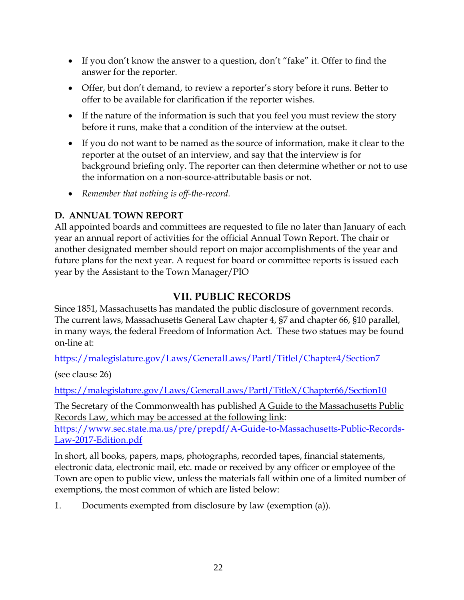- If you don't know the answer to a question, don't "fake" it. Offer to find the answer for the reporter.
- Offer, but don't demand, to review a reporter's story before it runs. Better to offer to be available for clarification if the reporter wishes.
- If the nature of the information is such that you feel you must review the story before it runs, make that a condition of the interview at the outset.
- If you do not want to be named as the source of information, make it clear to the reporter at the outset of an interview, and say that the interview is for background briefing only. The reporter can then determine whether or not to use the information on a non-source-attributable basis or not.
- *Remember that nothing is off-the-record.*

## **D. ANNUAL TOWN REPORT**

All appointed boards and committees are requested to file no later than January of each year an annual report of activities for the official Annual Town Report. The chair or another designated member should report on major accomplishments of the year and future plans for the next year. A request for board or committee reports is issued each year by the Assistant to the Town Manager/PIO

# **VII. PUBLIC RECORDS**

Since 1851, Massachusetts has mandated the public disclosure of government records. The current laws, Massachusetts General Law chapter 4, §7 and chapter 66, §10 parallel, in many ways, the federal Freedom of Information Act. These two statues may be found on-line at:

<https://malegislature.gov/Laws/GeneralLaws/PartI/TitleI/Chapter4/Section7>

(see clause 26)

<https://malegislature.gov/Laws/GeneralLaws/PartI/TitleX/Chapter66/Section10>

The Secretary of the Commonwealth has published A Guide to the Massachusetts Public Records Law, which may be accessed at the following link:

[https://www.sec.state.ma.us/pre/prepdf/A-Guide-to-Massachusetts-Public-Records-](https://www.sec.state.ma.us/pre/prepdf/A-Guide-to-Massachusetts-Public-Records-Law-2017-Edition.pdf)[Law-2017-Edition.pdf](https://www.sec.state.ma.us/pre/prepdf/A-Guide-to-Massachusetts-Public-Records-Law-2017-Edition.pdf)

In short, all books, papers, maps, photographs, recorded tapes, financial statements, electronic data, electronic mail, etc. made or received by any officer or employee of the Town are open to public view, unless the materials fall within one of a limited number of exemptions, the most common of which are listed below:

1. Documents exempted from disclosure by law (exemption (a)).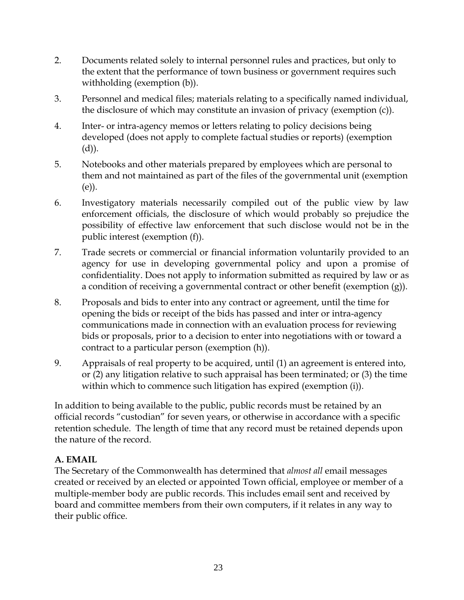- 2. Documents related solely to internal personnel rules and practices, but only to the extent that the performance of town business or government requires such withholding (exemption (b)).
- 3. Personnel and medical files; materials relating to a specifically named individual, the disclosure of which may constitute an invasion of privacy (exemption (c)).
- 4. Inter- or intra-agency memos or letters relating to policy decisions being developed (does not apply to complete factual studies or reports) (exemption (d)).
- 5. Notebooks and other materials prepared by employees which are personal to them and not maintained as part of the files of the governmental unit (exemption (e)).
- 6. Investigatory materials necessarily compiled out of the public view by law enforcement officials, the disclosure of which would probably so prejudice the possibility of effective law enforcement that such disclose would not be in the public interest (exemption (f)).
- 7. Trade secrets or commercial or financial information voluntarily provided to an agency for use in developing governmental policy and upon a promise of confidentiality. Does not apply to information submitted as required by law or as a condition of receiving a governmental contract or other benefit (exemption (g)).
- 8. Proposals and bids to enter into any contract or agreement, until the time for opening the bids or receipt of the bids has passed and inter or intra-agency communications made in connection with an evaluation process for reviewing bids or proposals, prior to a decision to enter into negotiations with or toward a contract to a particular person (exemption (h)).
- 9. Appraisals of real property to be acquired, until (1) an agreement is entered into, or (2) any litigation relative to such appraisal has been terminated; or (3) the time within which to commence such litigation has expired (exemption (i)).

In addition to being available to the public, public records must be retained by an official records "custodian" for seven years, or otherwise in accordance with a specific retention schedule. The length of time that any record must be retained depends upon the nature of the record.

## **A. EMAIL**

The Secretary of the Commonwealth has determined that *almost all* email messages created or received by an elected or appointed Town official, employee or member of a multiple-member body are public records. This includes email sent and received by board and committee members from their own computers, if it relates in any way to their public office.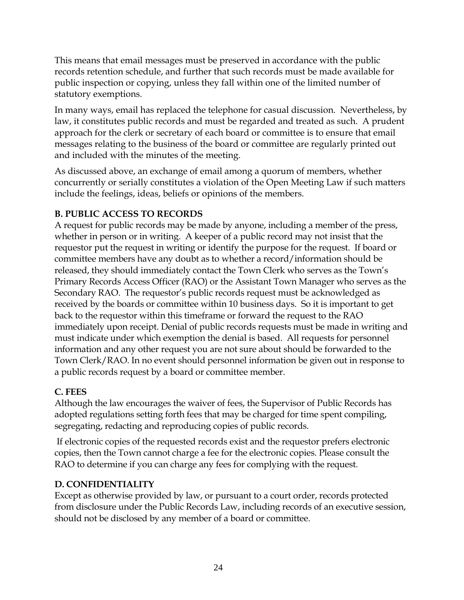This means that email messages must be preserved in accordance with the public records retention schedule, and further that such records must be made available for public inspection or copying, unless they fall within one of the limited number of statutory exemptions.

In many ways, email has replaced the telephone for casual discussion. Nevertheless, by law, it constitutes public records and must be regarded and treated as such. A prudent approach for the clerk or secretary of each board or committee is to ensure that email messages relating to the business of the board or committee are regularly printed out and included with the minutes of the meeting.

As discussed above, an exchange of email among a quorum of members, whether concurrently or serially constitutes a violation of the Open Meeting Law if such matters include the feelings, ideas, beliefs or opinions of the members.

## **B. PUBLIC ACCESS TO RECORDS**

A request for public records may be made by anyone, including a member of the press, whether in person or in writing. A keeper of a public record may not insist that the requestor put the request in writing or identify the purpose for the request. If board or committee members have any doubt as to whether a record/information should be released, they should immediately contact the Town Clerk who serves as the Town's Primary Records Access Officer (RAO) or the Assistant Town Manager who serves as the Secondary RAO. The requestor's public records request must be acknowledged as received by the boards or committee within 10 business days. So it is important to get back to the requestor within this timeframe or forward the request to the RAO immediately upon receipt. Denial of public records requests must be made in writing and must indicate under which exemption the denial is based. All requests for personnel information and any other request you are not sure about should be forwarded to the Town Clerk/RAO. In no event should personnel information be given out in response to a public records request by a board or committee member.

## **C. FEES**

Although the law encourages the waiver of fees, the Supervisor of Public Records has adopted regulations setting forth fees that may be charged for time spent compiling, segregating, redacting and reproducing copies of public records.

If electronic copies of the requested records exist and the requestor prefers electronic copies, then the Town cannot charge a fee for the electronic copies. Please consult the RAO to determine if you can charge any fees for complying with the request.

## **D. CONFIDENTIALITY**

Except as otherwise provided by law, or pursuant to a court order, records protected from disclosure under the Public Records Law, including records of an executive session, should not be disclosed by any member of a board or committee.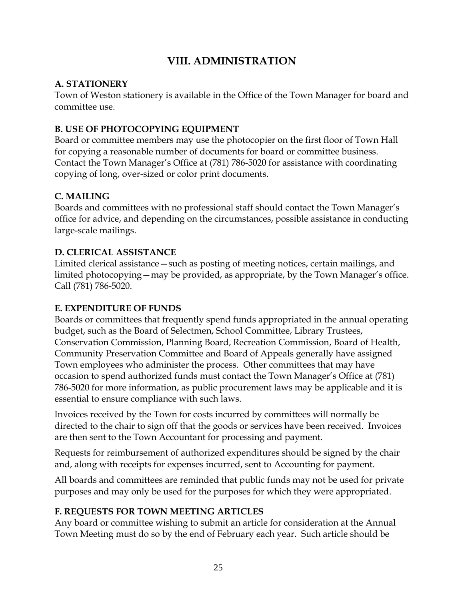# **VIII. ADMINISTRATION**

## **A. STATIONERY**

Town of Weston stationery is available in the Office of the Town Manager for board and committee use.

## **B. USE OF PHOTOCOPYING EQUIPMENT**

Board or committee members may use the photocopier on the first floor of Town Hall for copying a reasonable number of documents for board or committee business. Contact the Town Manager's Office at (781) 786-5020 for assistance with coordinating copying of long, over-sized or color print documents.

## **C. MAILING**

Boards and committees with no professional staff should contact the Town Manager's office for advice, and depending on the circumstances, possible assistance in conducting large-scale mailings.

#### **D. CLERICAL ASSISTANCE**

Limited clerical assistance—such as posting of meeting notices, certain mailings, and limited photocopying—may be provided, as appropriate, by the Town Manager's office. Call (781) 786-5020.

## **E. EXPENDITURE OF FUNDS**

Boards or committees that frequently spend funds appropriated in the annual operating budget, such as the Board of Selectmen, School Committee, Library Trustees, Conservation Commission, Planning Board, Recreation Commission, Board of Health, Community Preservation Committee and Board of Appeals generally have assigned Town employees who administer the process. Other committees that may have occasion to spend authorized funds must contact the Town Manager's Office at (781) 786-5020 for more information, as public procurement laws may be applicable and it is essential to ensure compliance with such laws.

Invoices received by the Town for costs incurred by committees will normally be directed to the chair to sign off that the goods or services have been received. Invoices are then sent to the Town Accountant for processing and payment.

Requests for reimbursement of authorized expenditures should be signed by the chair and, along with receipts for expenses incurred, sent to Accounting for payment.

All boards and committees are reminded that public funds may not be used for private purposes and may only be used for the purposes for which they were appropriated.

## **F. REQUESTS FOR TOWN MEETING ARTICLES**

Any board or committee wishing to submit an article for consideration at the Annual Town Meeting must do so by the end of February each year. Such article should be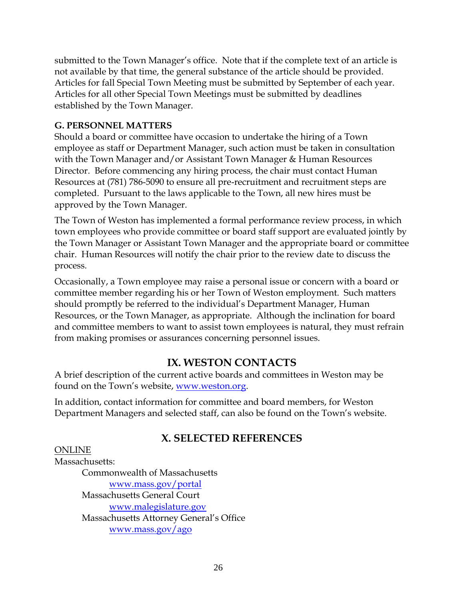submitted to the Town Manager's office. Note that if the complete text of an article is not available by that time, the general substance of the article should be provided. Articles for fall Special Town Meeting must be submitted by September of each year. Articles for all other Special Town Meetings must be submitted by deadlines established by the Town Manager.

#### **G. PERSONNEL MATTERS**

Should a board or committee have occasion to undertake the hiring of a Town employee as staff or Department Manager, such action must be taken in consultation with the Town Manager and/or Assistant Town Manager & Human Resources Director. Before commencing any hiring process, the chair must contact Human Resources at (781) 786-5090 to ensure all pre-recruitment and recruitment steps are completed. Pursuant to the laws applicable to the Town, all new hires must be approved by the Town Manager.

The Town of Weston has implemented a formal performance review process, in which town employees who provide committee or board staff support are evaluated jointly by the Town Manager or Assistant Town Manager and the appropriate board or committee chair. Human Resources will notify the chair prior to the review date to discuss the process.

Occasionally, a Town employee may raise a personal issue or concern with a board or committee member regarding his or her Town of Weston employment. Such matters should promptly be referred to the individual's Department Manager, Human Resources, or the Town Manager, as appropriate. Although the inclination for board and committee members to want to assist town employees is natural, they must refrain from making promises or assurances concerning personnel issues.

# **IX. WESTON CONTACTS**

A brief description of the current active boards and committees in Weston may be found on the Town's website, [www.weston.org.](http://www.weston.org/)

In addition, contact information for committee and board members, for Weston Department Managers and selected staff, can also be found on the Town's website.

# **X. SELECTED REFERENCES**

#### ONLINE

Massachusetts: Commonwealth of Massachusetts [www.mass.gov/portal](http://www.mass.gov/portal) Massachusetts General Court [www.malegislature.gov](http://www.malegislature.gov/) Massachusetts Attorney General's Office [www.mass.gov/ago](http://www.mass.gov/ago/)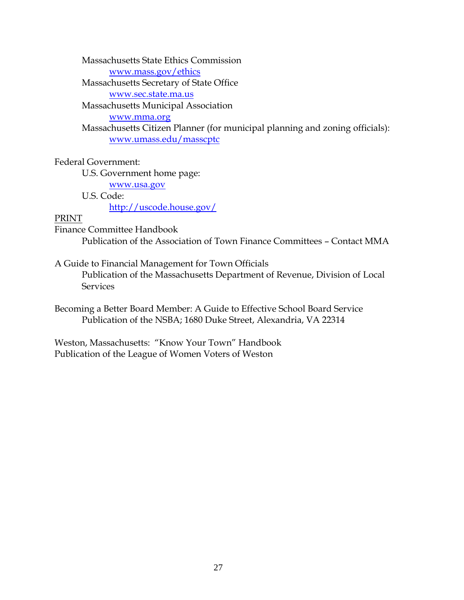Massachusetts State Ethics Commission

[www.mass.gov/ethics](http://www.mass.gov/ethics/)

Massachusetts Secretary of State Office

[www.sec.state.ma.us](http://www.sec.state.ma.us/)

Massachusetts Municipal Association

[www.mma.org](http://www.mma.org/)

Massachusetts Citizen Planner (for municipal planning and zoning officials): [www.umass.edu/masscptc](http://www.umass.edu/masscptc/)

Federal Government:

U.S. Government home page:

[www.usa.gov](http://www.usa.gov/)

U.S. Code:

<http://uscode.house.gov/>

#### PRINT

Finance Committee Handbook Publication of the Association of Town Finance Committees – Contact MMA

A Guide to Financial Management for Town Officials Publication of the Massachusetts Department of Revenue, Division of Local **Services** 

Becoming a Better Board Member: A Guide to Effective School Board Service Publication of the NSBA; 1680 Duke Street, Alexandria, VA 22314

Weston, Massachusetts: "Know Your Town" Handbook Publication of the League of Women Voters of Weston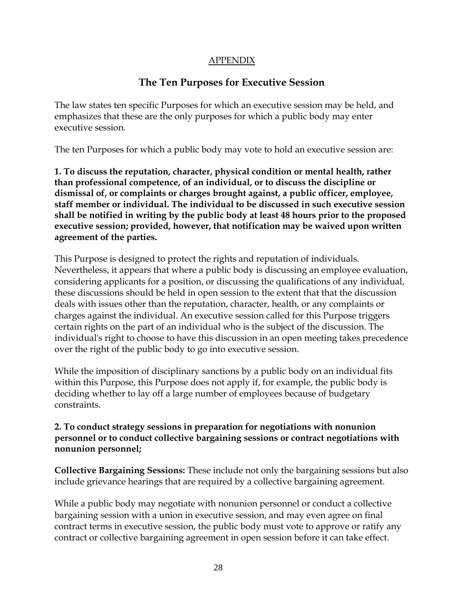#### APPENDIX

# **The Ten Purposes for Executive Session**

The law states ten specific Purposes for which an executive session may be held, and emphasizes that these are the only purposes for which a public body may enter executive session.

The ten Purposes for which a public body may vote to hold an executive session are:

**1. To discuss the reputation, character, physical condition or mental health, rather than professional competence, of an individual, or to discuss the discipline or dismissal of, or complaints or charges brought against, a public officer, employee, staff member or individual. The individual to be discussed in such executive session shall be notified in writing by the public body at least 48 hours prior to the proposed executive session; provided, however, that notification may be waived upon written agreement of the parties.**

This Purpose is designed to protect the rights and reputation of individuals. Nevertheless, it appears that where a public body is discussing an employee evaluation, considering applicants for a position, or discussing the qualifications of any individual, these discussions should be held in open session to the extent that that the discussion deals with issues other than the reputation, character, health, or any complaints or charges against the individual. An executive session called for this Purpose triggers certain rights on the part of an individual who is the subject of the discussion. The individual's right to choose to have this discussion in an open meeting takes precedence over the right of the public body to go into executive session.

While the imposition of disciplinary sanctions by a public body on an individual fits within this Purpose, this Purpose does not apply if, for example, the public body is deciding whether to lay off a large number of employees because of budgetary constraints.

#### **2. To conduct strategy sessions in preparation for negotiations with nonunion personnel or to conduct collective bargaining sessions or contract negotiations with nonunion personnel;**

**Collective Bargaining Sessions:** These include not only the bargaining sessions but also include grievance hearings that are required by a collective bargaining agreement.

While a public body may negotiate with nonunion personnel or conduct a collective bargaining session with a union in executive session, and may even agree on final contract terms in executive session, the public body must vote to approve or ratify any contract or collective bargaining agreement in open session before it can take effect.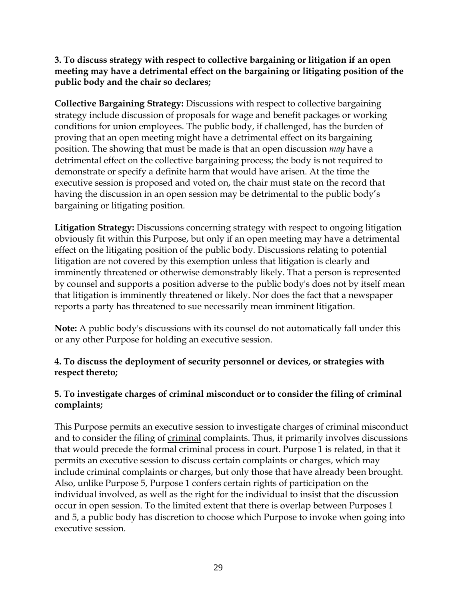**3. To discuss strategy with respect to collective bargaining or litigation if an open meeting may have a detrimental effect on the bargaining or litigating position of the public body and the chair so declares;**

**Collective Bargaining Strategy:** Discussions with respect to collective bargaining strategy include discussion of proposals for wage and benefit packages or working conditions for union employees. The public body, if challenged, has the burden of proving that an open meeting might have a detrimental effect on its bargaining position. The showing that must be made is that an open discussion *may* have a detrimental effect on the collective bargaining process; the body is not required to demonstrate or specify a definite harm that would have arisen. At the time the executive session is proposed and voted on, the chair must state on the record that having the discussion in an open session may be detrimental to the public body's bargaining or litigating position.

**Litigation Strategy:** Discussions concerning strategy with respect to ongoing litigation obviously fit within this Purpose, but only if an open meeting may have a detrimental effect on the litigating position of the public body. Discussions relating to potential litigation are not covered by this exemption unless that litigation is clearly and imminently threatened or otherwise demonstrably likely. That a person is represented by counsel and supports a position adverse to the public body's does not by itself mean that litigation is imminently threatened or likely. Nor does the fact that a newspaper reports a party has threatened to sue necessarily mean imminent litigation.

**Note:** A public body's discussions with its counsel do not automatically fall under this or any other Purpose for holding an executive session.

#### **4. To discuss the deployment of security personnel or devices, or strategies with respect thereto;**

#### **5. To investigate charges of criminal misconduct or to consider the filing of criminal complaints;**

This Purpose permits an executive session to investigate charges of criminal misconduct and to consider the filing of criminal complaints. Thus, it primarily involves discussions that would precede the formal criminal process in court. Purpose 1 is related, in that it permits an executive session to discuss certain complaints or charges, which may include criminal complaints or charges, but only those that have already been brought. Also, unlike Purpose 5, Purpose 1 confers certain rights of participation on the individual involved, as well as the right for the individual to insist that the discussion occur in open session. To the limited extent that there is overlap between Purposes 1 and 5, a public body has discretion to choose which Purpose to invoke when going into executive session.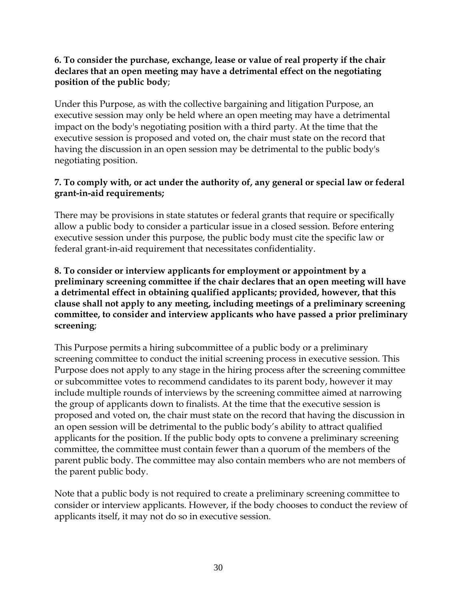#### **6. To consider the purchase, exchange, lease or value of real property if the chair declares that an open meeting may have a detrimental effect on the negotiating position of the public body**;

Under this Purpose, as with the collective bargaining and litigation Purpose, an executive session may only be held where an open meeting may have a detrimental impact on the body's negotiating position with a third party. At the time that the executive session is proposed and voted on, the chair must state on the record that having the discussion in an open session may be detrimental to the public body's negotiating position.

#### **7. To comply with, or act under the authority of, any general or special law or federal grant-in-aid requirements;**

There may be provisions in state statutes or federal grants that require or specifically allow a public body to consider a particular issue in a closed session. Before entering executive session under this purpose, the public body must cite the specific law or federal grant-in-aid requirement that necessitates confidentiality.

**8. To consider or interview applicants for employment or appointment by a preliminary screening committee if the chair declares that an open meeting will have a detrimental effect in obtaining qualified applicants; provided, however, that this clause shall not apply to any meeting, including meetings of a preliminary screening committee, to consider and interview applicants who have passed a prior preliminary screening**;

This Purpose permits a hiring subcommittee of a public body or a preliminary screening committee to conduct the initial screening process in executive session. This Purpose does not apply to any stage in the hiring process after the screening committee or subcommittee votes to recommend candidates to its parent body, however it may include multiple rounds of interviews by the screening committee aimed at narrowing the group of applicants down to finalists. At the time that the executive session is proposed and voted on, the chair must state on the record that having the discussion in an open session will be detrimental to the public body's ability to attract qualified applicants for the position. If the public body opts to convene a preliminary screening committee, the committee must contain fewer than a quorum of the members of the parent public body. The committee may also contain members who are not members of the parent public body.

Note that a public body is not required to create a preliminary screening committee to consider or interview applicants. However, if the body chooses to conduct the review of applicants itself, it may not do so in executive session.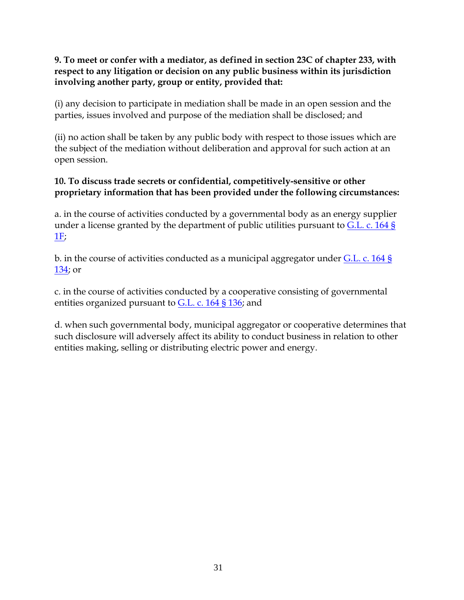#### **9. To meet or confer with a mediator, as defined in section 23C of chapter 233, with respect to any litigation or decision on any public business within its jurisdiction involving another party, group or entity, provided that:**

(i) any decision to participate in mediation shall be made in an open session and the parties, issues involved and purpose of the mediation shall be disclosed; and

(ii) no action shall be taken by any public body with respect to those issues which are the subject of the mediation without deliberation and approval for such action at an open session.

#### **10. To discuss trade secrets or confidential, competitively-sensitive or other proprietary information that has been provided under the following circumstances:**

a. in the course of activities conducted by a governmental body as an energy supplier under a license granted by the department of public utilities pursuant to [G.L. c. 164 §](http://www.mass.gov/legis/laws/mgl/164-1f.htm)   $1F$ 

b. in the course of activities conducted as a municipal aggregator under [G.L. c. 164 §](http://www.mass.gov/legis/laws/mgl/164-134.htm)  [134;](http://www.mass.gov/legis/laws/mgl/164-134.htm) or

c. in the course of activities conducted by a cooperative consisting of governmental entities organized pursuant to [G.L. c. 164 § 136;](http://www.mass.gov/legis/laws/mgl/164-136.htm) and

d. when such governmental body, municipal aggregator or cooperative determines that such disclosure will adversely affect its ability to conduct business in relation to other entities making, selling or distributing electric power and energy.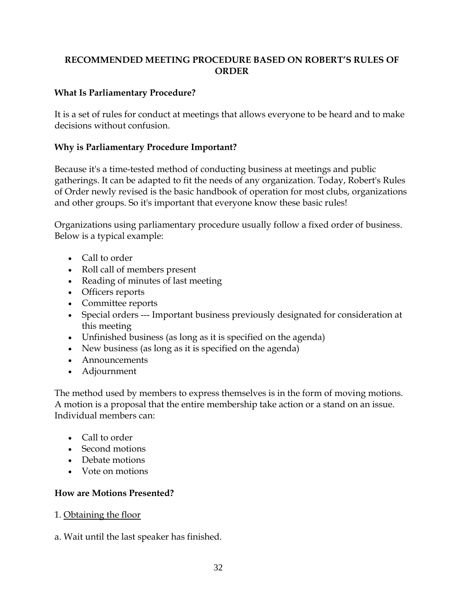#### **RECOMMENDED MEETING PROCEDURE BASED ON ROBERT'S RULES OF ORDER**

#### **What Is Parliamentary Procedure?**

It is a set of rules for conduct at meetings that allows everyone to be heard and to make decisions without confusion.

#### **Why is Parliamentary Procedure Important?**

Because it's a time-tested method of conducting business at meetings and public gatherings. It can be adapted to fit the needs of any organization. Today, Robert's Rules of Order newly revised is the basic handbook of operation for most clubs, organizations and other groups. So it's important that everyone know these basic rules!

Organizations using parliamentary procedure usually follow a fixed order of business. Below is a typical example:

- Call to order
- Roll call of members present
- Reading of minutes of last meeting
- Officers reports
- Committee reports
- Special orders --- Important business previously designated for consideration at this meeting
- Unfinished business (as long as it is specified on the agenda)
- New business (as long as it is specified on the agenda)
- Announcements
- Adjournment

The method used by members to express themselves is in the form of moving motions. A motion is a proposal that the entire membership take action or a stand on an issue. Individual members can:

- Call to order
- Second motions
- Debate motions
- Vote on motions

#### **How are Motions Presented?**

- 1. Obtaining the floor
- a. Wait until the last speaker has finished.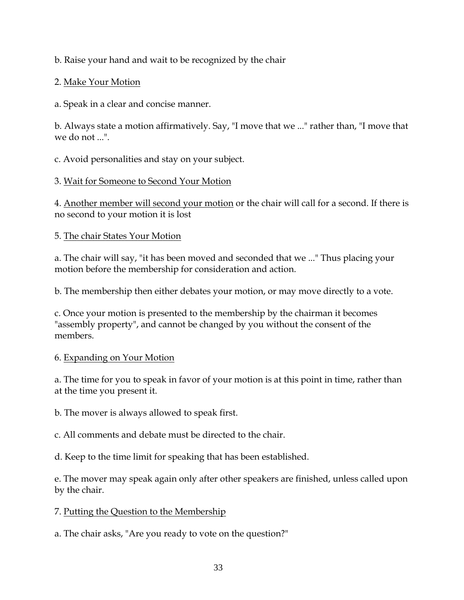b. Raise your hand and wait to be recognized by the chair

#### 2. Make Your Motion

a. Speak in a clear and concise manner.

b. Always state a motion affirmatively. Say, "I move that we ..." rather than, "I move that we do not ...".

c. Avoid personalities and stay on your subject.

#### 3. Wait for Someone to Second Your Motion

4. Another member will second your motion or the chair will call for a second. If there is no second to your motion it is lost

#### 5. The chair States Your Motion

a. The chair will say, "it has been moved and seconded that we ..." Thus placing your motion before the membership for consideration and action.

b. The membership then either debates your motion, or may move directly to a vote.

c. Once your motion is presented to the membership by the chairman it becomes "assembly property", and cannot be changed by you without the consent of the members.

## 6. Expanding on Your Motion

a. The time for you to speak in favor of your motion is at this point in time, rather than at the time you present it.

b. The mover is always allowed to speak first.

c. All comments and debate must be directed to the chair.

d. Keep to the time limit for speaking that has been established.

e. The mover may speak again only after other speakers are finished, unless called upon by the chair.

## 7. Putting the Question to the Membership

a. The chair asks, "Are you ready to vote on the question?"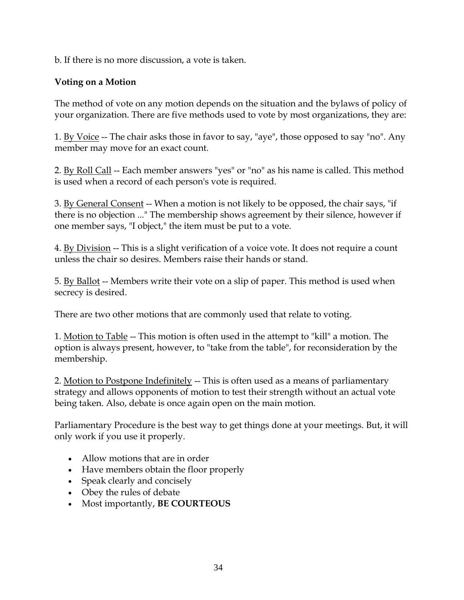b. If there is no more discussion, a vote is taken.

#### **Voting on a Motion**

The method of vote on any motion depends on the situation and the bylaws of policy of your organization. There are five methods used to vote by most organizations, they are:

1. By Voice -- The chair asks those in favor to say, "aye", those opposed to say "no". Any member may move for an exact count.

2. By Roll Call -- Each member answers "yes" or "no" as his name is called. This method is used when a record of each person's vote is required.

3. By General Consent -- When a motion is not likely to be opposed, the chair says, "if there is no objection ..." The membership shows agreement by their silence, however if one member says, "I object," the item must be put to a vote.

4. By Division -- This is a slight verification of a voice vote. It does not require a count unless the chair so desires. Members raise their hands or stand.

5. By Ballot -- Members write their vote on a slip of paper. This method is used when secrecy is desired.

There are two other motions that are commonly used that relate to voting.

1. Motion to Table -- This motion is often used in the attempt to "kill" a motion. The option is always present, however, to "take from the table", for reconsideration by the membership.

2. Motion to Postpone Indefinitely -- This is often used as a means of parliamentary strategy and allows opponents of motion to test their strength without an actual vote being taken. Also, debate is once again open on the main motion.

Parliamentary Procedure is the best way to get things done at your meetings. But, it will only work if you use it properly.

- Allow motions that are in order
- Have members obtain the floor properly
- Speak clearly and concisely
- Obey the rules of debate
- Most importantly, **BE COURTEOUS**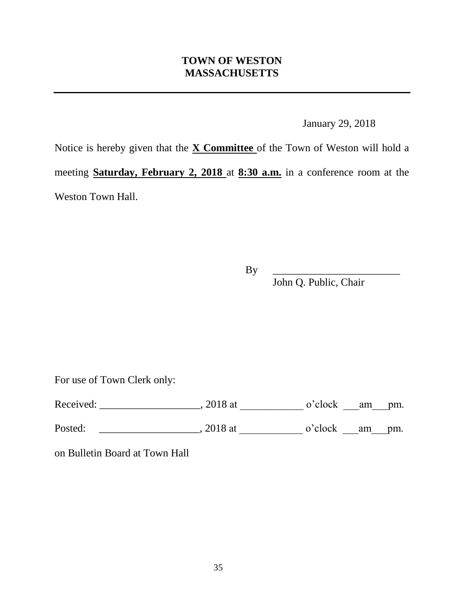## **TOWN OF WESTON MASSACHUSETTS**

January 29, 2018

Notice is hereby given that the **X Committee** of the Town of Weston will hold a meeting **Saturday, February 2, 2018** at **8:30 a.m.** in a conference room at the Weston Town Hall.

By \_\_\_\_\_\_\_\_\_\_\_\_\_\_\_\_\_\_\_\_\_\_\_\_

John Q. Public, Chair

For use of Town Clerk only:

Received: \_\_\_\_\_\_\_\_\_\_\_\_\_\_\_\_\_\_\_\_, 2018 at \_\_\_\_\_\_\_\_\_\_\_\_\_ o'clock \_\_\_am\_\_\_pm.

Posted: \_\_\_\_\_\_\_\_\_\_\_\_\_\_\_\_\_\_\_\_, 2018 at \_\_\_\_\_\_\_\_\_\_\_\_\_\_, o'clock \_\_\_\_\_\_\_\_\_\_\_\_\_\_\_\_\_\_\_

on Bulletin Board at Town Hall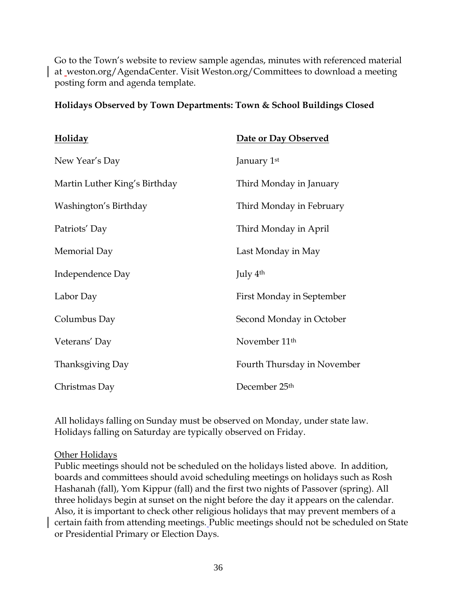Go to the Town's website to review sample agendas, minutes with referenced material at weston.org/AgendaCenter. Visit Weston.org/Committees to download a meeting posting form and agenda template.

| <b>Holiday</b>                | Date or Day Observed        |
|-------------------------------|-----------------------------|
| New Year's Day                | January 1st                 |
| Martin Luther King's Birthday | Third Monday in January     |
| Washington's Birthday         | Third Monday in February    |
| Patriots' Day                 | Third Monday in April       |
| Memorial Day                  | Last Monday in May          |
| Independence Day              | July $4th$                  |
| Labor Day                     | First Monday in September   |
| Columbus Day                  | Second Monday in October    |
| Veterans' Day                 | November 11 <sup>th</sup>   |
| Thanksgiving Day              | Fourth Thursday in November |
| Christmas Day                 | December 25 <sup>th</sup>   |

#### **Holidays Observed by Town Departments: Town & School Buildings Closed**

All holidays falling on Sunday must be observed on Monday, under state law. Holidays falling on Saturday are typically observed on Friday.

#### Other Holidays

Public meetings should not be scheduled on the holidays listed above. In addition, boards and committees should avoid scheduling meetings on holidays such as Rosh Hashanah (fall), Yom Kippur (fall) and the first two nights of Passover (spring). All three holidays begin at sunset on the night before the day it appears on the calendar. Also, it is important to check other religious holidays that may prevent members of a certain faith from attending meetings. Public meetings should not be scheduled on State or Presidential Primary or Election Days.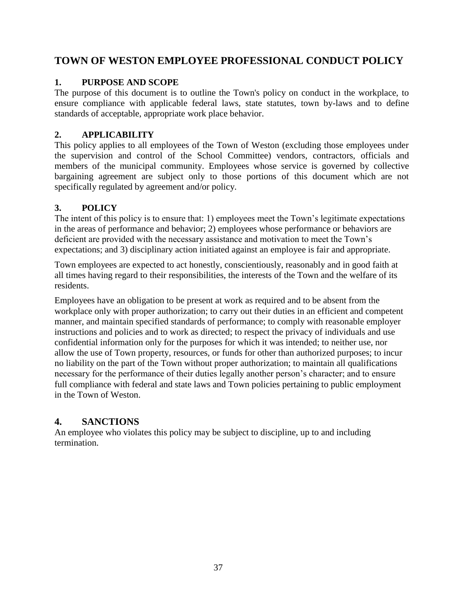## **TOWN OF WESTON EMPLOYEE PROFESSIONAL CONDUCT POLICY**

#### **1. PURPOSE AND SCOPE**

The purpose of this document is to outline the Town's policy on conduct in the workplace, to ensure compliance with applicable federal laws, state statutes, town by-laws and to define standards of acceptable, appropriate work place behavior.

#### **2. APPLICABILITY**

This policy applies to all employees of the Town of Weston (excluding those employees under the supervision and control of the School Committee) vendors, contractors, officials and members of the municipal community. Employees whose service is governed by collective bargaining agreement are subject only to those portions of this document which are not specifically regulated by agreement and/or policy.

#### **3. POLICY**

The intent of this policy is to ensure that: 1) employees meet the Town's legitimate expectations in the areas of performance and behavior; 2) employees whose performance or behaviors are deficient are provided with the necessary assistance and motivation to meet the Town's expectations; and 3) disciplinary action initiated against an employee is fair and appropriate.

Town employees are expected to act honestly, conscientiously, reasonably and in good faith at all times having regard to their responsibilities, the interests of the Town and the welfare of its residents.

Employees have an obligation to be present at work as required and to be absent from the workplace only with proper authorization; to carry out their duties in an efficient and competent manner, and maintain specified standards of performance; to comply with reasonable employer instructions and policies and to work as directed; to respect the privacy of individuals and use confidential information only for the purposes for which it was intended; to neither use, nor allow the use of Town property, resources, or funds for other than authorized purposes; to incur no liability on the part of the Town without proper authorization; to maintain all qualifications necessary for the performance of their duties legally another person's character; and to ensure full compliance with federal and state laws and Town policies pertaining to public employment in the Town of Weston.

## **4. SANCTIONS**

An employee who violates this policy may be subject to discipline, up to and including termination.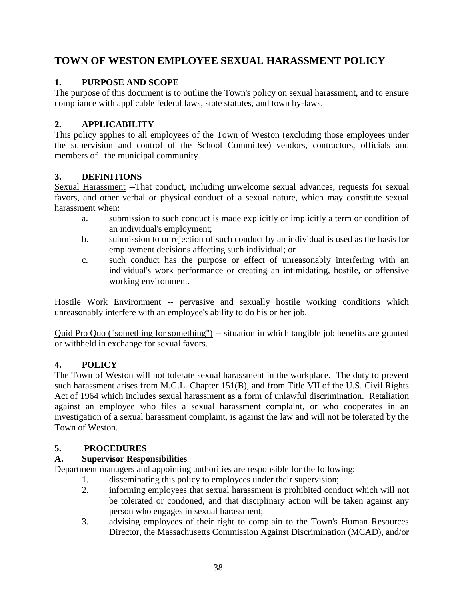## **TOWN OF WESTON EMPLOYEE SEXUAL HARASSMENT POLICY**

#### **1. PURPOSE AND SCOPE**

The purpose of this document is to outline the Town's policy on sexual harassment, and to ensure compliance with applicable federal laws, state statutes, and town by-laws.

#### **2. APPLICABILITY**

This policy applies to all employees of the Town of Weston (excluding those employees under the supervision and control of the School Committee) vendors, contractors, officials and members of the municipal community.

#### **3. DEFINITIONS**

Sexual Harassment --That conduct, including unwelcome sexual advances, requests for sexual favors, and other verbal or physical conduct of a sexual nature, which may constitute sexual harassment when:

- a. submission to such conduct is made explicitly or implicitly a term or condition of an individual's employment;
- b. submission to or rejection of such conduct by an individual is used as the basis for employment decisions affecting such individual; or
- c. such conduct has the purpose or effect of unreasonably interfering with an individual's work performance or creating an intimidating, hostile, or offensive working environment.

Hostile Work Environment -- pervasive and sexually hostile working conditions which unreasonably interfere with an employee's ability to do his or her job.

Quid Pro Quo ("something for something") -- situation in which tangible job benefits are granted or withheld in exchange for sexual favors.

#### **4. POLICY**

The Town of Weston will not tolerate sexual harassment in the workplace. The duty to prevent such harassment arises from M.G.L. Chapter 151(B), and from Title VII of the U.S. Civil Rights Act of 1964 which includes sexual harassment as a form of unlawful discrimination. Retaliation against an employee who files a sexual harassment complaint, or who cooperates in an investigation of a sexual harassment complaint, is against the law and will not be tolerated by the Town of Weston.

## **5. PROCEDURES**

## **A. Supervisor Responsibilities**

Department managers and appointing authorities are responsible for the following:

- 1. disseminating this policy to employees under their supervision;
- 2. informing employees that sexual harassment is prohibited conduct which will not be tolerated or condoned, and that disciplinary action will be taken against any person who engages in sexual harassment;
- 3. advising employees of their right to complain to the Town's Human Resources Director, the Massachusetts Commission Against Discrimination (MCAD), and/or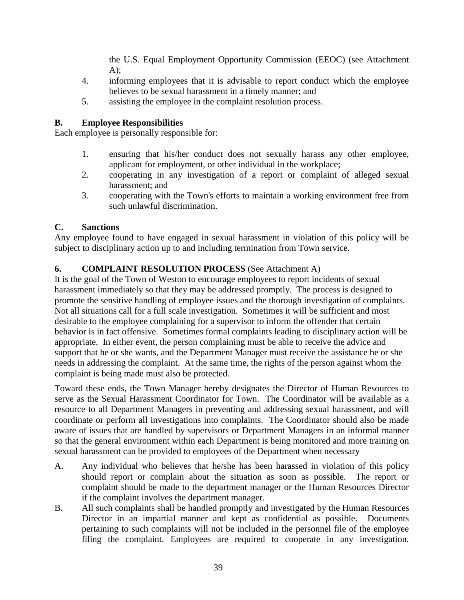the U.S. Equal Employment Opportunity Commission (EEOC) (see Attachment  $A$ :

- 4. informing employees that it is advisable to report conduct which the employee believes to be sexual harassment in a timely manner; and
- 5. assisting the employee in the complaint resolution process.

#### **B. Employee Responsibilities**

Each employee is personally responsible for:

- 1. ensuring that his/her conduct does not sexually harass any other employee, applicant for employment, or other individual in the workplace;
- 2. cooperating in any investigation of a report or complaint of alleged sexual harassment; and
- 3. cooperating with the Town's efforts to maintain a working environment free from such unlawful discrimination.

#### **C. Sanctions**

Any employee found to have engaged in sexual harassment in violation of this policy will be subject to disciplinary action up to and including termination from Town service.

#### **6. COMPLAINT RESOLUTION PROCESS** (See Attachment A)

It is the goal of the Town of Weston to encourage employees to report incidents of sexual harassment immediately so that they may be addressed promptly. The process is designed to promote the sensitive handling of employee issues and the thorough investigation of complaints. Not all situations call for a full scale investigation. Sometimes it will be sufficient and most desirable to the employee complaining for a supervisor to inform the offender that certain behavior is in fact offensive. Sometimes formal complaints leading to disciplinary action will be appropriate. In either event, the person complaining must be able to receive the advice and support that he or she wants, and the Department Manager must receive the assistance he or she needs in addressing the complaint. At the same time, the rights of the person against whom the complaint is being made must also be protected.

Toward these ends, the Town Manager hereby designates the Director of Human Resources to serve as the Sexual Harassment Coordinator for Town. The Coordinator will be available as a resource to all Department Managers in preventing and addressing sexual harassment, and will coordinate or perform all investigations into complaints. The Coordinator should also be made aware of issues that are handled by supervisors or Department Managers in an informal manner so that the general environment within each Department is being monitored and more training on sexual harassment can be provided to employees of the Department when necessary

- A. Any individual who believes that he/she has been harassed in violation of this policy should report or complain about the situation as soon as possible. The report or complaint should be made to the department manager or the Human Resources Director if the complaint involves the department manager.
- B. All such complaints shall be handled promptly and investigated by the Human Resources Director in an impartial manner and kept as confidential as possible. Documents pertaining to such complaints will not be included in the personnel file of the employee filing the complaint. Employees are required to cooperate in any investigation.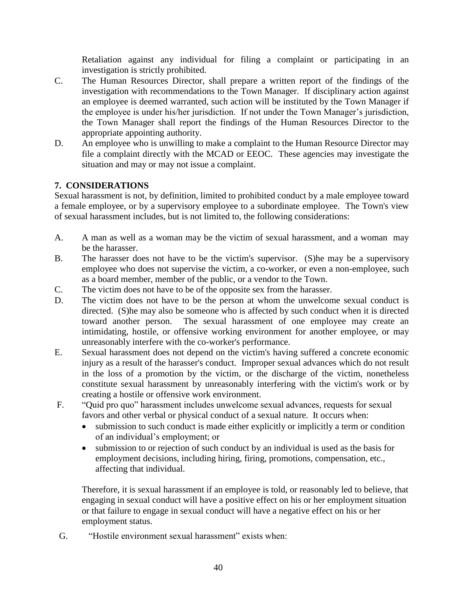Retaliation against any individual for filing a complaint or participating in an investigation is strictly prohibited.

- C. The Human Resources Director, shall prepare a written report of the findings of the investigation with recommendations to the Town Manager. If disciplinary action against an employee is deemed warranted, such action will be instituted by the Town Manager if the employee is under his/her jurisdiction. If not under the Town Manager's jurisdiction, the Town Manager shall report the findings of the Human Resources Director to the appropriate appointing authority.
- D. An employee who is unwilling to make a complaint to the Human Resource Director may file a complaint directly with the MCAD or EEOC. These agencies may investigate the situation and may or may not issue a complaint.

#### **7. CONSIDERATIONS**

Sexual harassment is not, by definition, limited to prohibited conduct by a male employee toward a female employee, or by a supervisory employee to a subordinate employee. The Town's view of sexual harassment includes, but is not limited to, the following considerations:

- A. A man as well as a woman may be the victim of sexual harassment, and a woman may be the harasser.
- B. The harasser does not have to be the victim's supervisor. (S)he may be a supervisory employee who does not supervise the victim, a co-worker, or even a non-employee, such as a board member, member of the public, or a vendor to the Town.
- C. The victim does not have to be of the opposite sex from the harasser.
- D. The victim does not have to be the person at whom the unwelcome sexual conduct is directed. (S)he may also be someone who is affected by such conduct when it is directed toward another person. The sexual harassment of one employee may create an intimidating, hostile, or offensive working environment for another employee, or may unreasonably interfere with the co-worker's performance.
- E. Sexual harassment does not depend on the victim's having suffered a concrete economic injury as a result of the harasser's conduct. Improper sexual advances which do not result in the loss of a promotion by the victim, or the discharge of the victim, nonetheless constitute sexual harassment by unreasonably interfering with the victim's work or by creating a hostile or offensive work environment.
- F. "Quid pro quo" harassment includes unwelcome sexual advances, requests for sexual favors and other verbal or physical conduct of a sexual nature. It occurs when:
	- submission to such conduct is made either explicitly or implicitly a term or condition of an individual's employment; or
	- submission to or rejection of such conduct by an individual is used as the basis for employment decisions, including hiring, firing, promotions, compensation, etc., affecting that individual.

Therefore, it is sexual harassment if an employee is told, or reasonably led to believe, that engaging in sexual conduct will have a positive effect on his or her employment situation or that failure to engage in sexual conduct will have a negative effect on his or her employment status.

G. "Hostile environment sexual harassment" exists when: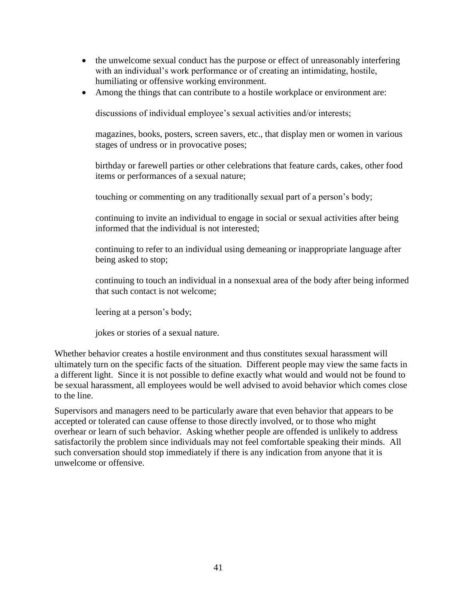- the unwelcome sexual conduct has the purpose or effect of unreasonably interfering with an individual's work performance or of creating an intimidating, hostile, humiliating or offensive working environment.
- Among the things that can contribute to a hostile workplace or environment are:

discussions of individual employee's sexual activities and/or interests;

magazines, books, posters, screen savers, etc., that display men or women in various stages of undress or in provocative poses;

birthday or farewell parties or other celebrations that feature cards, cakes, other food items or performances of a sexual nature;

touching or commenting on any traditionally sexual part of a person's body;

continuing to invite an individual to engage in social or sexual activities after being informed that the individual is not interested;

continuing to refer to an individual using demeaning or inappropriate language after being asked to stop;

continuing to touch an individual in a nonsexual area of the body after being informed that such contact is not welcome;

leering at a person's body;

jokes or stories of a sexual nature.

Whether behavior creates a hostile environment and thus constitutes sexual harassment will ultimately turn on the specific facts of the situation. Different people may view the same facts in a different light. Since it is not possible to define exactly what would and would not be found to be sexual harassment, all employees would be well advised to avoid behavior which comes close to the line.

Supervisors and managers need to be particularly aware that even behavior that appears to be accepted or tolerated can cause offense to those directly involved, or to those who might overhear or learn of such behavior. Asking whether people are offended is unlikely to address satisfactorily the problem since individuals may not feel comfortable speaking their minds. All such conversation should stop immediately if there is any indication from anyone that it is unwelcome or offensive.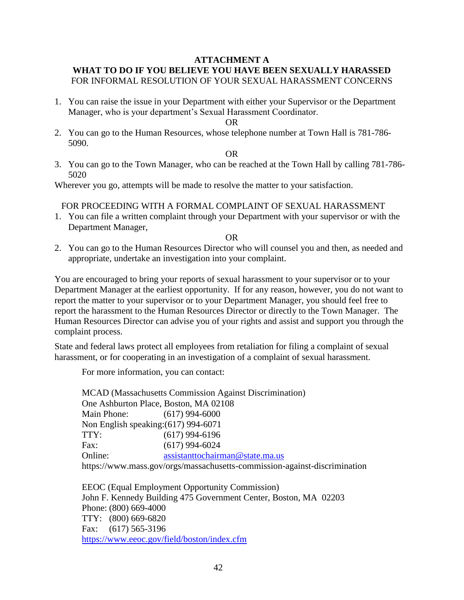#### **ATTACHMENT A WHAT TO DO IF YOU BELIEVE YOU HAVE BEEN SEXUALLY HARASSED** FOR INFORMAL RESOLUTION OF YOUR SEXUAL HARASSMENT CONCERNS

1. You can raise the issue in your Department with either your Supervisor or the Department Manager, who is your department's Sexual Harassment Coordinator.

OR

2. You can go to the Human Resources, whose telephone number at Town Hall is 781-786- 5090.

OR

3. You can go to the Town Manager, who can be reached at the Town Hall by calling 781-786- 5020

Wherever you go, attempts will be made to resolve the matter to your satisfaction.

#### FOR PROCEEDING WITH A FORMAL COMPLAINT OF SEXUAL HARASSMENT

1. You can file a written complaint through your Department with your supervisor or with the Department Manager,

OR

2. You can go to the Human Resources Director who will counsel you and then, as needed and appropriate, undertake an investigation into your complaint.

You are encouraged to bring your reports of sexual harassment to your supervisor or to your Department Manager at the earliest opportunity. If for any reason, however, you do not want to report the matter to your supervisor or to your Department Manager, you should feel free to report the harassment to the Human Resources Director or directly to the Town Manager. The Human Resources Director can advise you of your rights and assist and support you through the complaint process.

State and federal laws protect all employees from retaliation for filing a complaint of sexual harassment, or for cooperating in an investigation of a complaint of sexual harassment.

For more information, you can contact:

MCAD (Massachusetts Commission Against Discrimination) One Ashburton Place, Boston, MA 02108 Main Phone: (617) 994-6000 Non English speaking:(617) 994-6071 TTY: (617) 994-6196 Fax: (617) 994-6024 Online: [assistanttochairman@state.ma.us](mailto:assistanttochairman@state.ma.us) https://www.mass.gov/orgs/massachusetts-commission-against-discrimination

EEOC (Equal Employment Opportunity Commission) John F. Kennedy Building 475 Government Center, Boston, MA 02203 Phone: (800) 669-4000 TTY: (800) 669-6820 Fax: (617) 565-3196 <https://www.eeoc.gov/field/boston/index.cfm>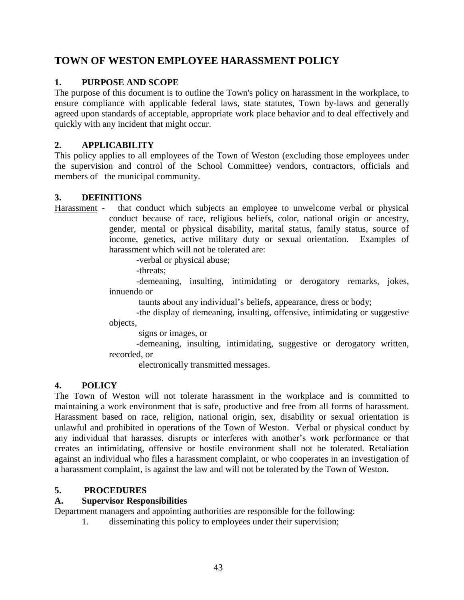## **TOWN OF WESTON EMPLOYEE HARASSMENT POLICY**

#### **1. PURPOSE AND SCOPE**

The purpose of this document is to outline the Town's policy on harassment in the workplace, to ensure compliance with applicable federal laws, state statutes, Town by-laws and generally agreed upon standards of acceptable, appropriate work place behavior and to deal effectively and quickly with any incident that might occur.

#### **2. APPLICABILITY**

This policy applies to all employees of the Town of Weston (excluding those employees under the supervision and control of the School Committee) vendors, contractors, officials and members of the municipal community.

#### **3. DEFINITIONS**

Harassment - that conduct which subjects an employee to unwelcome verbal or physical conduct because of race, religious beliefs, color, national origin or ancestry, gender, mental or physical disability, marital status, family status, source of income, genetics, active military duty or sexual orientation. Examples of harassment which will not be tolerated are:

-verbal or physical abuse;

-threats;

-demeaning, insulting, intimidating or derogatory remarks, jokes, innuendo or

taunts about any individual's beliefs, appearance, dress or body;

-the display of demeaning, insulting, offensive, intimidating or suggestive objects,

signs or images, or

-demeaning, insulting, intimidating, suggestive or derogatory written, recorded, or

electronically transmitted messages.

#### **4. POLICY**

The Town of Weston will not tolerate harassment in the workplace and is committed to maintaining a work environment that is safe, productive and free from all forms of harassment. Harassment based on race, religion, national origin, sex, disability or sexual orientation is unlawful and prohibited in operations of the Town of Weston. Verbal or physical conduct by any individual that harasses, disrupts or interferes with another's work performance or that creates an intimidating, offensive or hostile environment shall not be tolerated. Retaliation against an individual who files a harassment complaint, or who cooperates in an investigation of a harassment complaint, is against the law and will not be tolerated by the Town of Weston.

#### **5. PROCEDURES**

#### **A. Supervisor Responsibilities**

Department managers and appointing authorities are responsible for the following:

1. disseminating this policy to employees under their supervision;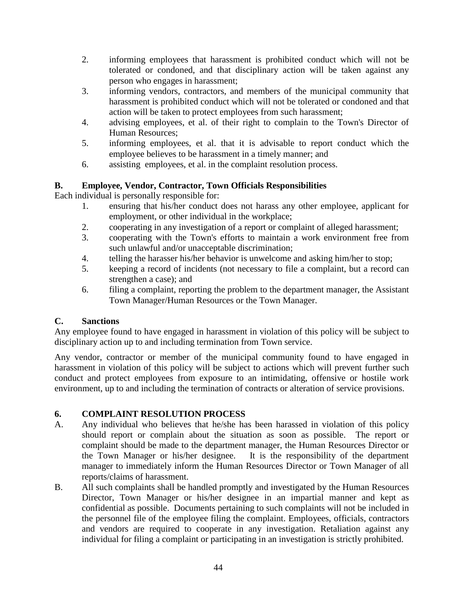- 2. informing employees that harassment is prohibited conduct which will not be tolerated or condoned, and that disciplinary action will be taken against any person who engages in harassment;
- 3. informing vendors, contractors, and members of the municipal community that harassment is prohibited conduct which will not be tolerated or condoned and that action will be taken to protect employees from such harassment;
- 4. advising employees, et al. of their right to complain to the Town's Director of Human Resources;
- 5. informing employees, et al. that it is advisable to report conduct which the employee believes to be harassment in a timely manner; and
- 6. assisting employees, et al. in the complaint resolution process.

#### **B. Employee, Vendor, Contractor, Town Officials Responsibilities**

Each individual is personally responsible for:

- 1. ensuring that his/her conduct does not harass any other employee, applicant for employment, or other individual in the workplace;
- 2. cooperating in any investigation of a report or complaint of alleged harassment;
- 3. cooperating with the Town's efforts to maintain a work environment free from such unlawful and/or unacceptable discrimination;
- 4. telling the harasser his/her behavior is unwelcome and asking him/her to stop;
- 5. keeping a record of incidents (not necessary to file a complaint, but a record can strengthen a case); and
- 6. filing a complaint, reporting the problem to the department manager, the Assistant Town Manager/Human Resources or the Town Manager.

#### **C. Sanctions**

Any employee found to have engaged in harassment in violation of this policy will be subject to disciplinary action up to and including termination from Town service.

Any vendor, contractor or member of the municipal community found to have engaged in harassment in violation of this policy will be subject to actions which will prevent further such conduct and protect employees from exposure to an intimidating, offensive or hostile work environment, up to and including the termination of contracts or alteration of service provisions.

## **6. COMPLAINT RESOLUTION PROCESS**

- A. Any individual who believes that he/she has been harassed in violation of this policy should report or complain about the situation as soon as possible. The report or complaint should be made to the department manager, the Human Resources Director or the Town Manager or his/her designee. It is the responsibility of the department manager to immediately inform the Human Resources Director or Town Manager of all reports/claims of harassment.
- B. All such complaints shall be handled promptly and investigated by the Human Resources Director, Town Manager or his/her designee in an impartial manner and kept as confidential as possible. Documents pertaining to such complaints will not be included in the personnel file of the employee filing the complaint. Employees, officials, contractors and vendors are required to cooperate in any investigation. Retaliation against any individual for filing a complaint or participating in an investigation is strictly prohibited.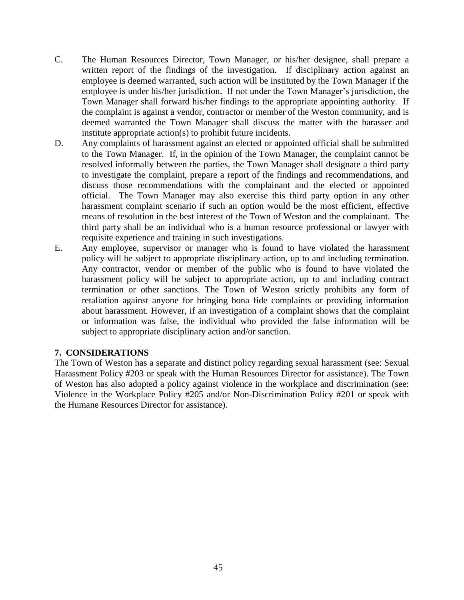- C. The Human Resources Director, Town Manager, or his/her designee, shall prepare a written report of the findings of the investigation. If disciplinary action against an employee is deemed warranted, such action will be instituted by the Town Manager if the employee is under his/her jurisdiction. If not under the Town Manager's jurisdiction, the Town Manager shall forward his/her findings to the appropriate appointing authority. If the complaint is against a vendor, contractor or member of the Weston community, and is deemed warranted the Town Manager shall discuss the matter with the harasser and institute appropriate action(s) to prohibit future incidents.
- D. Any complaints of harassment against an elected or appointed official shall be submitted to the Town Manager. If, in the opinion of the Town Manager, the complaint cannot be resolved informally between the parties, the Town Manager shall designate a third party to investigate the complaint, prepare a report of the findings and recommendations, and discuss those recommendations with the complainant and the elected or appointed official. The Town Manager may also exercise this third party option in any other harassment complaint scenario if such an option would be the most efficient, effective means of resolution in the best interest of the Town of Weston and the complainant. The third party shall be an individual who is a human resource professional or lawyer with requisite experience and training in such investigations.
- E. Any employee, supervisor or manager who is found to have violated the harassment policy will be subject to appropriate disciplinary action, up to and including termination. Any contractor, vendor or member of the public who is found to have violated the harassment policy will be subject to appropriate action, up to and including contract termination or other sanctions. The Town of Weston strictly prohibits any form of retaliation against anyone for bringing bona fide complaints or providing information about harassment. However, if an investigation of a complaint shows that the complaint or information was false, the individual who provided the false information will be subject to appropriate disciplinary action and/or sanction.

#### **7. CONSIDERATIONS**

The Town of Weston has a separate and distinct policy regarding sexual harassment (see: Sexual Harassment Policy #203 or speak with the Human Resources Director for assistance). The Town of Weston has also adopted a policy against violence in the workplace and discrimination (see: Violence in the Workplace Policy #205 and/or Non-Discrimination Policy #201 or speak with the Humane Resources Director for assistance).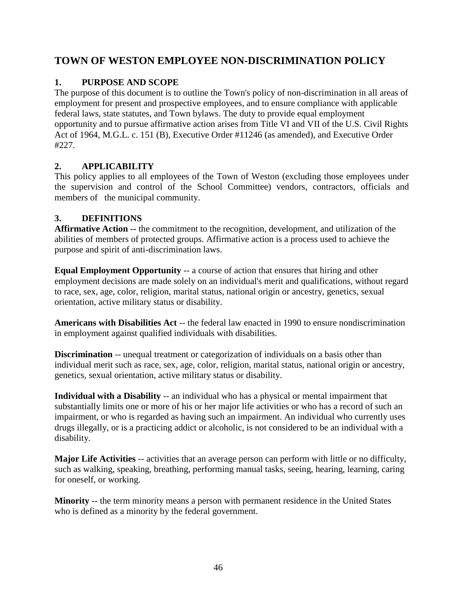## **TOWN OF WESTON EMPLOYEE NON-DISCRIMINATION POLICY**

#### **1. PURPOSE AND SCOPE**

The purpose of this document is to outline the Town's policy of non-discrimination in all areas of employment for present and prospective employees, and to ensure compliance with applicable federal laws, state statutes, and Town bylaws. The duty to provide equal employment opportunity and to pursue affirmative action arises from Title VI and VII of the U.S. Civil Rights Act of 1964, M.G.L. c. 151 (B), Executive Order #11246 (as amended), and Executive Order #227.

#### **2. APPLICABILITY**

This policy applies to all employees of the Town of Weston (excluding those employees under the supervision and control of the School Committee) vendors, contractors, officials and members of the municipal community.

#### **3. DEFINITIONS**

**Affirmative Action --** the commitment to the recognition, development, and utilization of the abilities of members of protected groups. Affirmative action is a process used to achieve the purpose and spirit of anti-discrimination laws.

**Equal Employment Opportunity** -- a course of action that ensures that hiring and other employment decisions are made solely on an individual's merit and qualifications, without regard to race, sex, age, color, religion, marital status, national origin or ancestry, genetics, sexual orientation, active military status or disability.

**Americans with Disabilities Act** -- the federal law enacted in 1990 to ensure nondiscrimination in employment against qualified individuals with disabilities.

**Discrimination** -- unequal treatment or categorization of individuals on a basis other than individual merit such as race, sex, age, color, religion, marital status, national origin or ancestry, genetics, sexual orientation, active military status or disability.

**Individual with a Disability** -- an individual who has a physical or mental impairment that substantially limits one or more of his or her major life activities or who has a record of such an impairment, or who is regarded as having such an impairment. An individual who currently uses drugs illegally, or is a practicing addict or alcoholic, is not considered to be an individual with a disability.

**Major Life Activities** -- activities that an average person can perform with little or no difficulty, such as walking, speaking, breathing, performing manual tasks, seeing, hearing, learning, caring for oneself, or working.

**Minority** -- the term minority means a person with permanent residence in the United States who is defined as a minority by the federal government.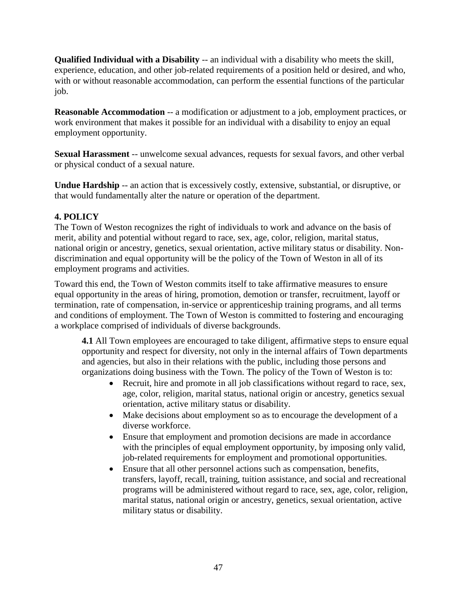**Qualified Individual with a Disability** -- an individual with a disability who meets the skill, experience, education, and other job-related requirements of a position held or desired, and who, with or without reasonable accommodation, can perform the essential functions of the particular job.

**Reasonable Accommodation** -- a modification or adjustment to a job, employment practices, or work environment that makes it possible for an individual with a disability to enjoy an equal employment opportunity.

**Sexual Harassment** -- unwelcome sexual advances, requests for sexual favors, and other verbal or physical conduct of a sexual nature.

**Undue Hardship** -- an action that is excessively costly, extensive, substantial, or disruptive, or that would fundamentally alter the nature or operation of the department.

#### **4. POLICY**

The Town of Weston recognizes the right of individuals to work and advance on the basis of merit, ability and potential without regard to race, sex, age, color, religion, marital status, national origin or ancestry, genetics, sexual orientation, active military status or disability. Nondiscrimination and equal opportunity will be the policy of the Town of Weston in all of its employment programs and activities.

Toward this end, the Town of Weston commits itself to take affirmative measures to ensure equal opportunity in the areas of hiring, promotion, demotion or transfer, recruitment, layoff or termination, rate of compensation, in-service or apprenticeship training programs, and all terms and conditions of employment. The Town of Weston is committed to fostering and encouraging a workplace comprised of individuals of diverse backgrounds.

**4.1** All Town employees are encouraged to take diligent, affirmative steps to ensure equal opportunity and respect for diversity, not only in the internal affairs of Town departments and agencies, but also in their relations with the public, including those persons and organizations doing business with the Town. The policy of the Town of Weston is to:

- Recruit, hire and promote in all job classifications without regard to race, sex, age, color, religion, marital status, national origin or ancestry, genetics sexual orientation, active military status or disability.
- Make decisions about employment so as to encourage the development of a diverse workforce.
- Ensure that employment and promotion decisions are made in accordance with the principles of equal employment opportunity, by imposing only valid, job-related requirements for employment and promotional opportunities.
- Ensure that all other personnel actions such as compensation, benefits, transfers, layoff, recall, training, tuition assistance, and social and recreational programs will be administered without regard to race, sex, age, color, religion, marital status, national origin or ancestry, genetics, sexual orientation, active military status or disability.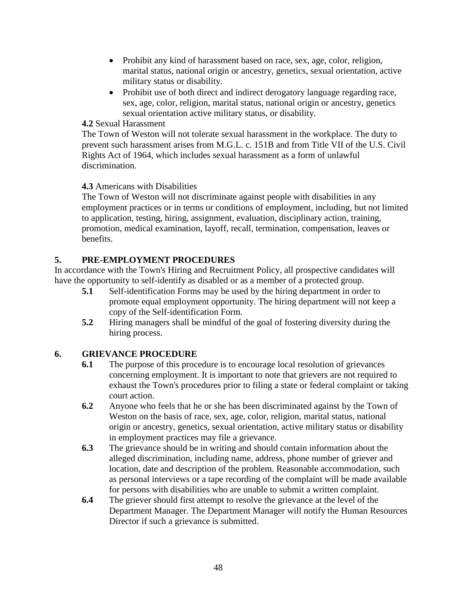- Prohibit any kind of harassment based on race, sex, age, color, religion, marital status, national origin or ancestry, genetics, sexual orientation, active military status or disability.
- Prohibit use of both direct and indirect derogatory language regarding race, sex, age, color, religion, marital status, national origin or ancestry, genetics sexual orientation active military status, or disability.

#### **4.2** Sexual Harassment

The Town of Weston will not tolerate sexual harassment in the workplace. The duty to prevent such harassment arises from M.G.L. c. 151B and from Title VII of the U.S. Civil Rights Act of 1964, which includes sexual harassment as a form of unlawful discrimination.

#### **4.3** Americans with Disabilities

The Town of Weston will not discriminate against people with disabilities in any employment practices or in terms or conditions of employment, including, but not limited to application, testing, hiring, assignment, evaluation, disciplinary action, training, promotion, medical examination, layoff, recall, termination, compensation, leaves or benefits.

#### **5. PRE-EMPLOYMENT PROCEDURES**

In accordance with the Town's Hiring and Recruitment Policy, all prospective candidates will have the opportunity to self-identify as disabled or as a member of a protected group.

- **5.1** Self-identification Forms may be used by the hiring department in order to promote equal employment opportunity. The hiring department will not keep a copy of the Self-identification Form.
- **5.2** Hiring managers shall be mindful of the goal of fostering diversity during the hiring process.

#### **6. GRIEVANCE PROCEDURE**

- **6.1** The purpose of this procedure is to encourage local resolution of grievances concerning employment. It is important to note that grievers are not required to exhaust the Town's procedures prior to filing a state or federal complaint or taking court action.
- **6.2** Anyone who feels that he or she has been discriminated against by the Town of Weston on the basis of race, sex, age, color, religion, marital status, national origin or ancestry, genetics, sexual orientation, active military status or disability in employment practices may file a grievance.
- **6.3** The grievance should be in writing and should contain information about the alleged discrimination, including name, address, phone number of griever and location, date and description of the problem. Reasonable accommodation, such as personal interviews or a tape recording of the complaint will be made available for persons with disabilities who are unable to submit a written complaint.
- **6.4** The griever should first attempt to resolve the grievance at the level of the Department Manager. The Department Manager will notify the Human Resources Director if such a grievance is submitted.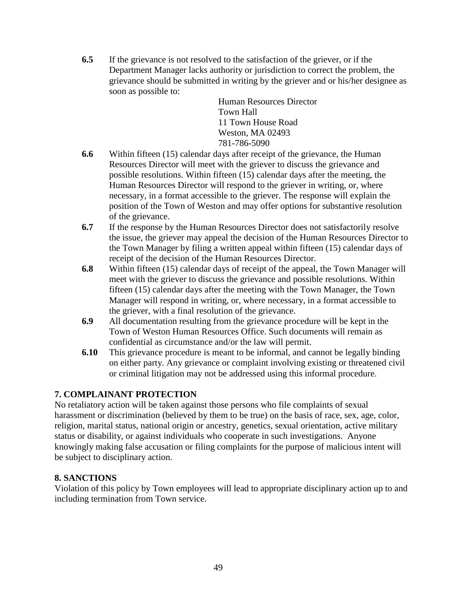**6.5** If the grievance is not resolved to the satisfaction of the griever, or if the Department Manager lacks authority or jurisdiction to correct the problem, the grievance should be submitted in writing by the griever and or his/her designee as soon as possible to:

> Human Resources Director Town Hall 11 Town House Road Weston, MA 02493 781-786-5090

- **6.6** Within fifteen (15) calendar days after receipt of the grievance, the Human Resources Director will meet with the griever to discuss the grievance and possible resolutions. Within fifteen (15) calendar days after the meeting, the Human Resources Director will respond to the griever in writing, or, where necessary, in a format accessible to the griever. The response will explain the position of the Town of Weston and may offer options for substantive resolution of the grievance.
- **6.7** If the response by the Human Resources Director does not satisfactorily resolve the issue, the griever may appeal the decision of the Human Resources Director to the Town Manager by filing a written appeal within fifteen (15) calendar days of receipt of the decision of the Human Resources Director.
- **6.8** Within fifteen (15) calendar days of receipt of the appeal, the Town Manager will meet with the griever to discuss the grievance and possible resolutions. Within fifteen (15) calendar days after the meeting with the Town Manager, the Town Manager will respond in writing, or, where necessary, in a format accessible to the griever, with a final resolution of the grievance.
- **6.9** All documentation resulting from the grievance procedure will be kept in the Town of Weston Human Resources Office. Such documents will remain as confidential as circumstance and/or the law will permit.
- **6.10** This grievance procedure is meant to be informal, and cannot be legally binding on either party. Any grievance or complaint involving existing or threatened civil or criminal litigation may not be addressed using this informal procedure.

#### **7. COMPLAINANT PROTECTION**

No retaliatory action will be taken against those persons who file complaints of sexual harassment or discrimination (believed by them to be true) on the basis of race, sex, age, color, religion, marital status, national origin or ancestry, genetics, sexual orientation, active military status or disability, or against individuals who cooperate in such investigations. Anyone knowingly making false accusation or filing complaints for the purpose of malicious intent will be subject to disciplinary action.

#### **8. SANCTIONS**

Violation of this policy by Town employees will lead to appropriate disciplinary action up to and including termination from Town service.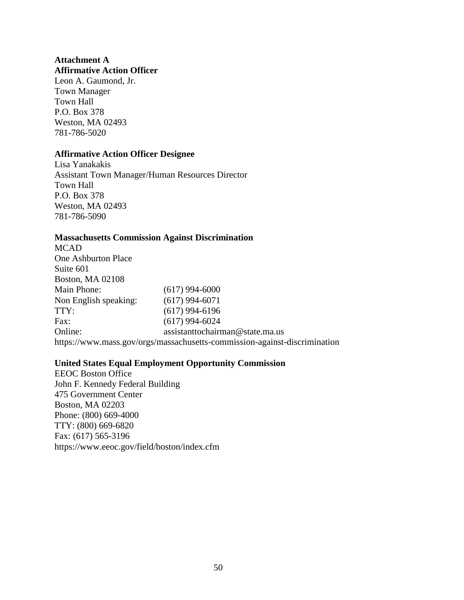#### **Attachment A Affirmative Action Officer**

Leon A. Gaumond, Jr. Town Manager Town Hall P.O. Box 378 Weston, MA 02493 781-786-5020

#### **Affirmative Action Officer Designee**

Lisa Yanakakis Assistant Town Manager/Human Resources Director Town Hall P.O. Box 378 Weston, MA 02493 781-786-5090

#### **Massachusetts Commission Against Discrimination**

MCAD One Ashburton Place Suite 601 Boston, MA 02108 Main Phone: (617) 994-6000 Non English speaking: (617) 994-6071 TTY: (617) 994-6196 Fax: (617) 994-6024 Online: assistanttochairman@state.ma.us https://www.mass.gov/orgs/massachusetts-commission-against-discrimination

#### **United States Equal Employment Opportunity Commission**

EEOC Boston Office John F. Kennedy Federal Building 475 Government Center Boston, MA 02203 Phone: (800) 669-4000 TTY: (800) 669-6820 Fax: (617) 565-3196 https://www.eeoc.gov/field/boston/index.cfm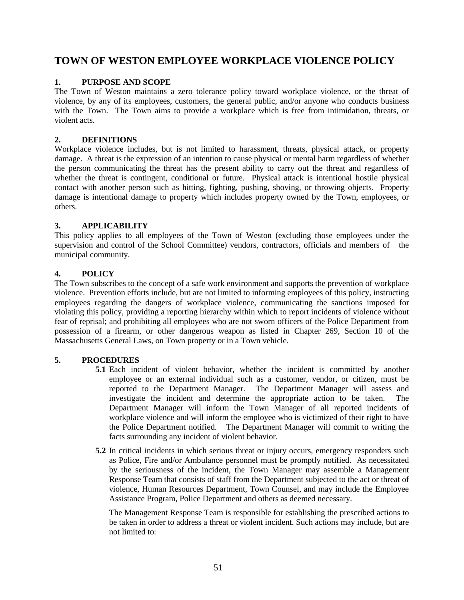## **TOWN OF WESTON EMPLOYEE WORKPLACE VIOLENCE POLICY**

#### **1. PURPOSE AND SCOPE**

The Town of Weston maintains a zero tolerance policy toward workplace violence, or the threat of violence, by any of its employees, customers, the general public, and/or anyone who conducts business with the Town. The Town aims to provide a workplace which is free from intimidation, threats, or violent acts.

#### **2. DEFINITIONS**

Workplace violence includes, but is not limited to harassment, threats, physical attack, or property damage. A threat is the expression of an intention to cause physical or mental harm regardless of whether the person communicating the threat has the present ability to carry out the threat and regardless of whether the threat is contingent, conditional or future. Physical attack is intentional hostile physical contact with another person such as hitting, fighting, pushing, shoving, or throwing objects. Property damage is intentional damage to property which includes property owned by the Town, employees, or others.

#### **3. APPLICABILITY**

This policy applies to all employees of the Town of Weston (excluding those employees under the supervision and control of the School Committee) vendors, contractors, officials and members of the municipal community.

#### **4. POLICY**

The Town subscribes to the concept of a safe work environment and supports the prevention of workplace violence. Prevention efforts include, but are not limited to informing employees of this policy, instructing employees regarding the dangers of workplace violence, communicating the sanctions imposed for violating this policy, providing a reporting hierarchy within which to report incidents of violence without fear of reprisal; and prohibiting all employees who are not sworn officers of the Police Department from possession of a firearm, or other dangerous weapon as listed in Chapter 269, Section 10 of the Massachusetts General Laws, on Town property or in a Town vehicle.

#### **5. PROCEDURES**

- **5.1** Each incident of violent behavior, whether the incident is committed by another employee or an external individual such as a customer, vendor, or citizen, must be reported to the Department Manager. The Department Manager will assess and investigate the incident and determine the appropriate action to be taken. The Department Manager will inform the Town Manager of all reported incidents of workplace violence and will inform the employee who is victimized of their right to have the Police Department notified. The Department Manager will commit to writing the facts surrounding any incident of violent behavior.
- **5.2** In critical incidents in which serious threat or injury occurs, emergency responders such as Police, Fire and/or Ambulance personnel must be promptly notified. As necessitated by the seriousness of the incident, the Town Manager may assemble a Management Response Team that consists of staff from the Department subjected to the act or threat of violence, Human Resources Department, Town Counsel, and may include the Employee Assistance Program, Police Department and others as deemed necessary.

The Management Response Team is responsible for establishing the prescribed actions to be taken in order to address a threat or violent incident. Such actions may include, but are not limited to: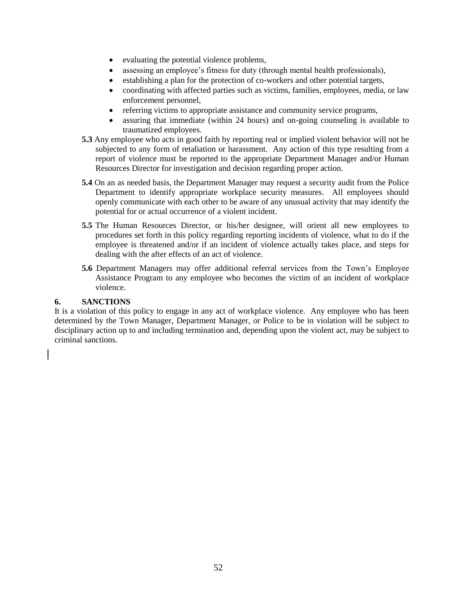- evaluating the potential violence problems,
- assessing an employee's fitness for duty (through mental health professionals),
- establishing a plan for the protection of co-workers and other potential targets,
- coordinating with affected parties such as victims, families, employees, media, or law enforcement personnel,
- referring victims to appropriate assistance and community service programs,
- assuring that immediate (within 24 hours) and on-going counseling is available to traumatized employees.
- **5.3** Any employee who acts in good faith by reporting real or implied violent behavior will not be subjected to any form of retaliation or harassment. Any action of this type resulting from a report of violence must be reported to the appropriate Department Manager and/or Human Resources Director for investigation and decision regarding proper action.
- **5.4** On an as needed basis, the Department Manager may request a security audit from the Police Department to identify appropriate workplace security measures. All employees should openly communicate with each other to be aware of any unusual activity that may identify the potential for or actual occurrence of a violent incident.
- **5.5** The Human Resources Director, or his/her designee, will orient all new employees to procedures set forth in this policy regarding reporting incidents of violence, what to do if the employee is threatened and/or if an incident of violence actually takes place, and steps for dealing with the after effects of an act of violence.
- **5.6** Department Managers may offer additional referral services from the Town's Employee Assistance Program to any employee who becomes the victim of an incident of workplace violence.

#### **6. SANCTIONS**

It is a violation of this policy to engage in any act of workplace violence. Any employee who has been determined by the Town Manager, Department Manager, or Police to be in violation will be subject to disciplinary action up to and including termination and, depending upon the violent act, may be subject to criminal sanctions.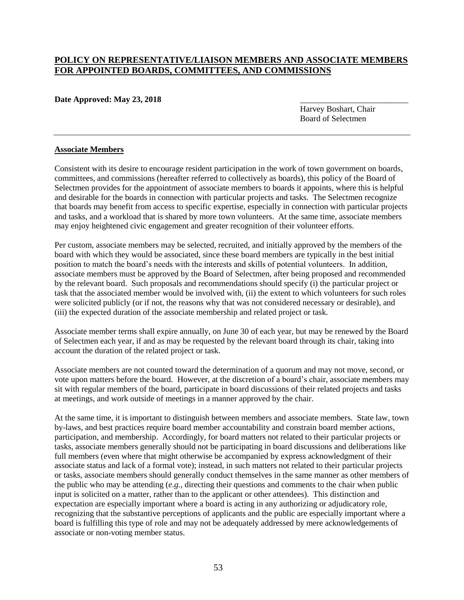#### **POLICY ON REPRESENTATIVE/LIAISON MEMBERS AND ASSOCIATE MEMBERS FOR APPOINTED BOARDS, COMMITTEES, AND COMMISSIONS**

#### Date Approved: May 23, 2018

Harvey Boshart, Chair Board of Selectmen

#### **Associate Members**

Consistent with its desire to encourage resident participation in the work of town government on boards, committees, and commissions (hereafter referred to collectively as boards), this policy of the Board of Selectmen provides for the appointment of associate members to boards it appoints, where this is helpful and desirable for the boards in connection with particular projects and tasks. The Selectmen recognize that boards may benefit from access to specific expertise, especially in connection with particular projects and tasks, and a workload that is shared by more town volunteers. At the same time, associate members may enjoy heightened civic engagement and greater recognition of their volunteer efforts.

Per custom, associate members may be selected, recruited, and initially approved by the members of the board with which they would be associated, since these board members are typically in the best initial position to match the board's needs with the interests and skills of potential volunteers. In addition, associate members must be approved by the Board of Selectmen, after being proposed and recommended by the relevant board. Such proposals and recommendations should specify (i) the particular project or task that the associated member would be involved with, (ii) the extent to which volunteers for such roles were solicited publicly (or if not, the reasons why that was not considered necessary or desirable), and (iii) the expected duration of the associate membership and related project or task.

Associate member terms shall expire annually, on June 30 of each year, but may be renewed by the Board of Selectmen each year, if and as may be requested by the relevant board through its chair, taking into account the duration of the related project or task.

Associate members are not counted toward the determination of a quorum and may not move, second, or vote upon matters before the board. However, at the discretion of a board's chair, associate members may sit with regular members of the board, participate in board discussions of their related projects and tasks at meetings, and work outside of meetings in a manner approved by the chair.

At the same time, it is important to distinguish between members and associate members. State law, town by-laws, and best practices require board member accountability and constrain board member actions, participation, and membership. Accordingly, for board matters not related to their particular projects or tasks, associate members generally should not be participating in board discussions and deliberations like full members (even where that might otherwise be accompanied by express acknowledgment of their associate status and lack of a formal vote); instead, in such matters not related to their particular projects or tasks, associate members should generally conduct themselves in the same manner as other members of the public who may be attending (*e.g.*, directing their questions and comments to the chair when public input is solicited on a matter, rather than to the applicant or other attendees). This distinction and expectation are especially important where a board is acting in any authorizing or adjudicatory role, recognizing that the substantive perceptions of applicants and the public are especially important where a board is fulfilling this type of role and may not be adequately addressed by mere acknowledgements of associate or non-voting member status.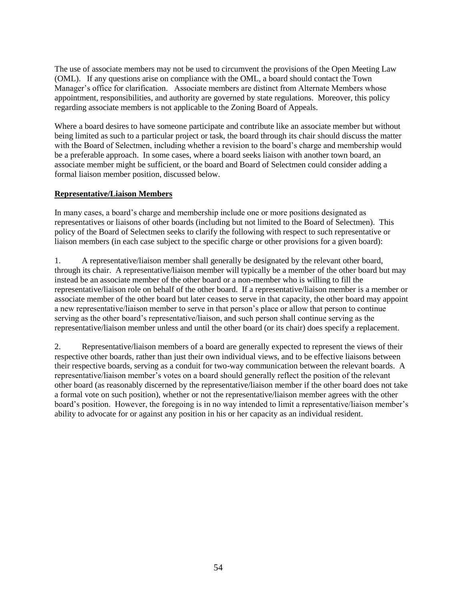The use of associate members may not be used to circumvent the provisions of the Open Meeting Law (OML). If any questions arise on compliance with the OML, a board should contact the Town Manager's office for clarification. Associate members are distinct from Alternate Members whose appointment, responsibilities, and authority are governed by state regulations. Moreover, this policy regarding associate members is not applicable to the Zoning Board of Appeals.

Where a board desires to have someone participate and contribute like an associate member but without being limited as such to a particular project or task, the board through its chair should discuss the matter with the Board of Selectmen, including whether a revision to the board's charge and membership would be a preferable approach. In some cases, where a board seeks liaison with another town board, an associate member might be sufficient, or the board and Board of Selectmen could consider adding a formal liaison member position, discussed below.

#### **Representative/Liaison Members**

In many cases, a board's charge and membership include one or more positions designated as representatives or liaisons of other boards (including but not limited to the Board of Selectmen). This policy of the Board of Selectmen seeks to clarify the following with respect to such representative or liaison members (in each case subject to the specific charge or other provisions for a given board):

1. A representative/liaison member shall generally be designated by the relevant other board, through its chair. A representative/liaison member will typically be a member of the other board but may instead be an associate member of the other board or a non-member who is willing to fill the representative/liaison role on behalf of the other board. If a representative/liaison member is a member or associate member of the other board but later ceases to serve in that capacity, the other board may appoint a new representative/liaison member to serve in that person's place or allow that person to continue serving as the other board's representative/liaison, and such person shall continue serving as the representative/liaison member unless and until the other board (or its chair) does specify a replacement.

2. Representative/liaison members of a board are generally expected to represent the views of their respective other boards, rather than just their own individual views, and to be effective liaisons between their respective boards, serving as a conduit for two-way communication between the relevant boards. A representative/liaison member's votes on a board should generally reflect the position of the relevant other board (as reasonably discerned by the representative/liaison member if the other board does not take a formal vote on such position), whether or not the representative/liaison member agrees with the other board's position. However, the foregoing is in no way intended to limit a representative/liaison member's ability to advocate for or against any position in his or her capacity as an individual resident.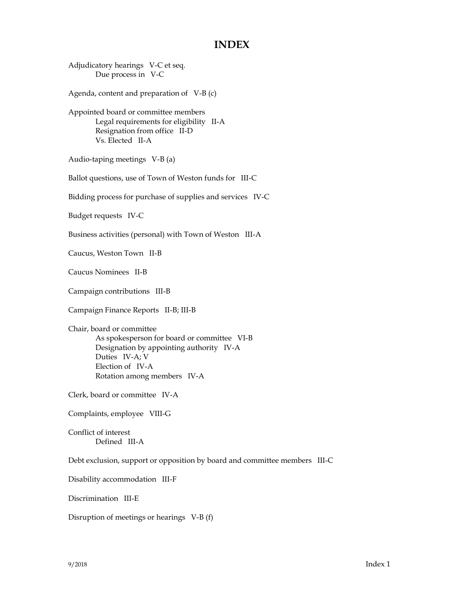#### **INDEX**

Adjudicatory hearings V-C et seq. Due process in V-C Agenda, content and preparation of V-B (c) Appointed board or committee members Legal requirements for eligibility II-A Resignation from office II-D Vs. Elected II-A Audio-taping meetings V-B (a) Ballot questions, use of Town of Weston funds for III-C Bidding process for purchase of supplies and services IV-C Budget requests IV-C Business activities (personal) with Town of Weston III-A Caucus, Weston Town II-B Caucus Nominees II-B Campaign contributions III-B Campaign Finance Reports II-B; III-B Chair, board or committee As spokesperson for board or committee VI-B Designation by appointing authority IV-A Duties IV-A; V Election of IV-A Rotation among members IV-A Clerk, board or committee IV-A Complaints, employee VIII-G Conflict of interest Defined III-A Debt exclusion, support or opposition by board and committee members III-C Disability accommodation III-F Discrimination III-E Disruption of meetings or hearings V-B (f)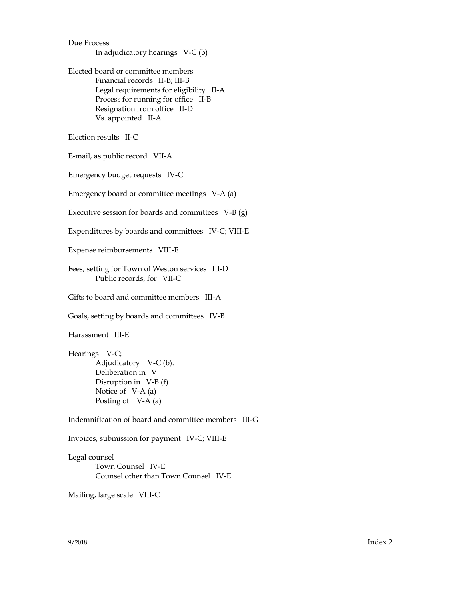Due Process In adjudicatory hearings V-C (b) Elected board or committee members Financial records II-B; III-B Legal requirements for eligibility II-A Process for running for office II-B Resignation from office II-D Vs. appointed II-A Election results II-C E-mail, as public record VII-A Emergency budget requests IV-C Emergency board or committee meetings V-A (a) Executive session for boards and committees V-B (g) Expenditures by boards and committees IV-C; VIII-E Expense reimbursements VIII-E Fees, setting for Town of Weston services III-D Public records, for VII-C Gifts to board and committee members III-A Goals, setting by boards and committees IV-B Harassment III-E Hearings V-C; Adjudicatory V-C (b). Deliberation in V Disruption in V-B (f) Notice of V-A (a) Posting of V-A (a) Indemnification of board and committee members III-G Invoices, submission for payment IV-C; VIII-E Legal counsel Town Counsel IV-E Counsel other than Town Counsel IV-E Mailing, large scale VIII-C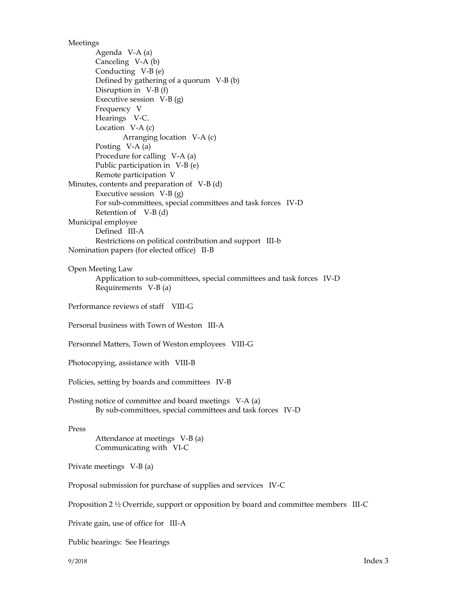Meetings

Agenda V-A (a) Canceling V-A (b) Conducting V-B (e) Defined by gathering of a quorum V-B (b) Disruption in V-B (f) Executive session V-B (g) Frequency V Hearings V-C. Location V-A (c) Arranging location V-A (c) Posting V-A (a) Procedure for calling V-A (a) Public participation in V-B (e) Remote participation V Minutes, contents and preparation of V-B (d) Executive session  $V-B(g)$ For sub-committees, special committees and task forces IV-D Retention of V-B (d) Municipal employee Defined III-A Restrictions on political contribution and support III-b Nomination papers (for elected office) II-B Open Meeting Law Application to sub-committees, special committees and task forces IV-D Requirements V-B (a) Performance reviews of staff VIII-G Personal business with Town of Weston III-A Personnel Matters, Town of Weston employees VIII-G Photocopying, assistance with VIII-B Policies, setting by boards and committees IV-B Posting notice of committee and board meetings V-A (a) By sub-committees, special committees and task forces IV-D Press Attendance at meetings V-B (a) Communicating with VI-C Private meetings V-B (a) Proposal submission for purchase of supplies and services IV-C Proposition 2 ½ Override, support or opposition by board and committee members III-C Private gain, use of office for III-A

Public hearings: See Hearings